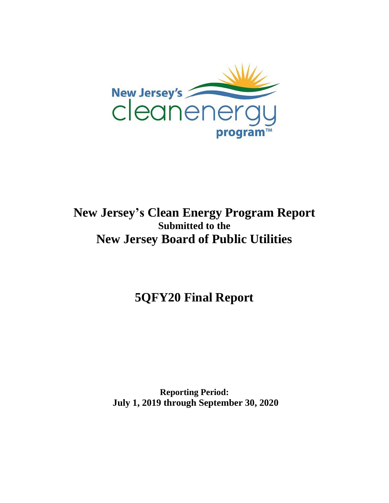

## **New Jersey's Clean Energy Program Report Submitted to the New Jersey Board of Public Utilities**

**5QFY20 Final Report**

**Reporting Period: July 1, 2019 through September 30, 2020**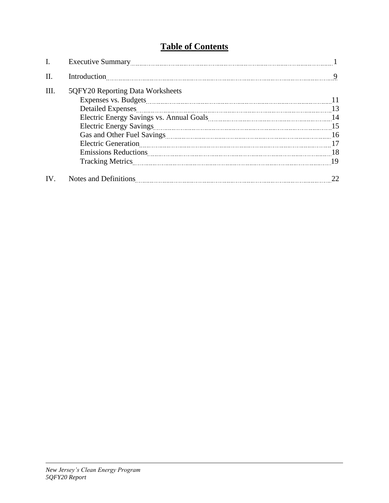## **Table of Contents**

| Ι.  |                                  |    |
|-----|----------------------------------|----|
| Π.  |                                  | 9  |
| Ш.  | 5QFY20 Reporting Data Worksheets |    |
|     | <b>Detailed Expenses</b>         | 13 |
|     |                                  |    |
|     | <b>Electric Generation</b>       |    |
|     |                                  |    |
|     |                                  |    |
| IV. |                                  |    |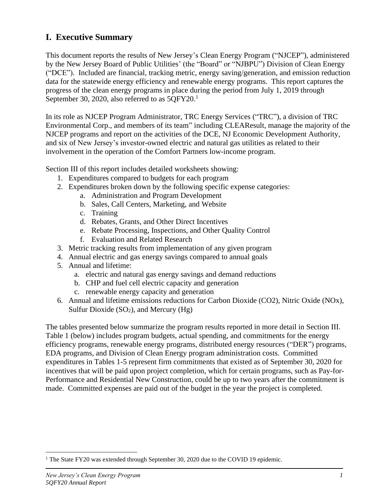### **I. Executive Summary**

This document reports the results of New Jersey's Clean Energy Program ("NJCEP"), administered by the New Jersey Board of Public Utilities' (the "Board" or "NJBPU") Division of Clean Energy ("DCE"). Included are financial, tracking metric, energy saving/generation, and emission reduction data for the statewide energy efficiency and renewable energy programs. This report captures the progress of the clean energy programs in place during the period from July 1, 2019 through September 30, 2020, also referred to as  $5QFY20.<sup>1</sup>$ 

In its role as NJCEP Program Administrator, TRC Energy Services ("TRC"), a division of TRC Environmental Corp., and members of its team" including CLEAResult, manage the majority of the NJCEP programs and report on the activities of the DCE, NJ Economic Development Authority, and six of New Jersey's investor-owned electric and natural gas utilities as related to their involvement in the operation of the Comfort Partners low-income program.

Section III of this report includes detailed worksheets showing:

- 1. Expenditures compared to budgets for each program
- 2. Expenditures broken down by the following specific expense categories:
	- a. Administration and Program Development
	- b. Sales, Call Centers, Marketing, and Website
	- c. Training
	- d. Rebates, Grants, and Other Direct Incentives
	- e. Rebate Processing, Inspections, and Other Quality Control
	- f. Evaluation and Related Research
- 3. Metric tracking results from implementation of any given program
- 4. Annual electric and gas energy savings compared to annual goals
- 5. Annual and lifetime:
	- a. electric and natural gas energy savings and demand reductions
	- b. CHP and fuel cell electric capacity and generation
	- c. renewable energy capacity and generation
- 6. Annual and lifetime emissions reductions for Carbon Dioxide (CO2), Nitric Oxide (NOx), Sulfur Dioxide  $(SO_2)$ , and Mercury  $(Hg)$

The tables presented below summarize the program results reported in more detail in Section III. Table 1 (below) includes program budgets, actual spending, and commitments for the energy efficiency programs, renewable energy programs, distributed energy resources ("DER") programs, EDA programs, and Division of Clean Energy program administration costs. Committed expenditures in Tables 1-5 represent firm commitments that existed as of September 30, 2020 for incentives that will be paid upon project completion, which for certain programs, such as Pay-for-Performance and Residential New Construction, could be up to two years after the commitment is made. Committed expenses are paid out of the budget in the year the project is completed.

<sup>&</sup>lt;sup>1</sup> The State FY20 was extended through September 30, 2020 due to the COVID 19 epidemic.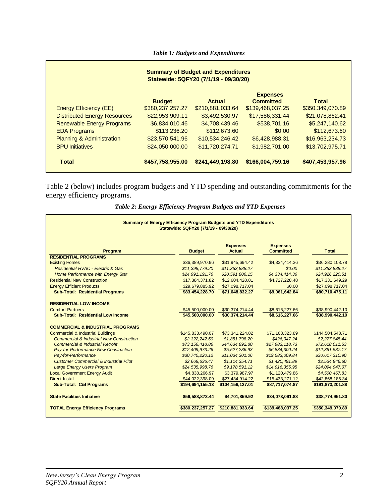*Table 1: Budgets and Expenditures*

| <b>Summary of Budget and Expenditures</b><br>Statewide: 5QFY20 (7/1/19 - 09/30/20) |                  |                  |                                     |                  |  |  |  |  |
|------------------------------------------------------------------------------------|------------------|------------------|-------------------------------------|------------------|--|--|--|--|
|                                                                                    | <b>Budget</b>    | <b>Actual</b>    | <b>Expenses</b><br><b>Committed</b> | <b>Total</b>     |  |  |  |  |
| <b>Energy Efficiency (EE)</b>                                                      | \$380,237,257.27 | \$210,881,033.64 | \$139,468,037.25                    | \$350,349,070.89 |  |  |  |  |
| <b>Distributed Energy Resources</b>                                                | \$22,953,909.11  | \$3,492,530.97   | \$17,586,331.44                     | \$21,078,862.41  |  |  |  |  |
| <b>Renewable Energy Programs</b>                                                   | \$6,834,010.46   | \$4,708,439.46   | \$538,701.16                        | \$5,247,140.62   |  |  |  |  |
| <b>EDA Programs</b>                                                                | \$113,236.20     | \$112,673.60     | \$0.00                              | \$112,673.60     |  |  |  |  |
| <b>Planning &amp; Administration</b>                                               | \$23,570,541.96  | \$10,534,246.42  | \$6,428,988.31                      | \$16,963,234.73  |  |  |  |  |
| <b>BPU Initiatives</b>                                                             | \$24,050,000.00  | \$11,720,274.71  | \$1,982,701.00                      | \$13,702,975.71  |  |  |  |  |
| <b>Total</b>                                                                       | \$457,758,955.00 | \$241,449,198.80 | \$166,004,759.16                    | \$407,453,957.96 |  |  |  |  |

Table 2 (below) includes program budgets and YTD spending and outstanding commitments for the energy efficiency programs.

| Table 2: Energy Efficiency Program Budgets and YTD Expenses |  |  |  |  |
|-------------------------------------------------------------|--|--|--|--|
|-------------------------------------------------------------|--|--|--|--|

| <b>Summary of Energy Efficiency Program Budgets and YTD Expenditures</b><br>Statewide: 5QFY20 (7/1/19 - 09/30/20) |                  |                                  |                                     |                  |  |  |
|-------------------------------------------------------------------------------------------------------------------|------------------|----------------------------------|-------------------------------------|------------------|--|--|
| Program                                                                                                           | <b>Budget</b>    | <b>Expenses</b><br><b>Actual</b> | <b>Expenses</b><br><b>Committed</b> | <b>Total</b>     |  |  |
| <b>RESIDENTIAL PROGRAMS</b>                                                                                       |                  |                                  |                                     |                  |  |  |
| <b>Existing Homes</b>                                                                                             | \$36,389,970.96  | \$31,945,694.42                  | \$4,334,414.36                      | \$36,280,108.78  |  |  |
| <b>Residential HVAC - Electric &amp; Gas</b>                                                                      | \$11,398,779.20  | \$11,353,888.27                  | \$0.00                              | \$11,353,888.27  |  |  |
| Home Performance with Energy Star                                                                                 | \$24,991,191.76  | \$20,591,806.15                  | \$4,334,414.36                      | \$24,926,220.51  |  |  |
| <b>Residential New Construction</b>                                                                               | \$17,384,371.82  | \$12,604,420.81                  | \$4,727,228.48                      | \$17,331,649.29  |  |  |
| <b>Energy Efficient Products</b>                                                                                  | \$29,679,885.92  | \$27,098,717.04                  | \$0.00                              | \$27,098,717.04  |  |  |
| <b>Sub-Total: Residential Programs</b>                                                                            | \$83,454,228.70  | \$71,648,832.27                  | \$9,061,642.84                      | \$80,710,475.11  |  |  |
| <b>RESIDENTIAL LOW INCOME</b>                                                                                     |                  |                                  |                                     |                  |  |  |
| <b>Comfort Partners</b>                                                                                           | \$45,500,000.00  | \$30,374,214.44                  | \$8.616.227.66                      | \$38,990,442.10  |  |  |
| <b>Sub-Total: Residential Low Income</b>                                                                          | \$45,500,000,00  | \$30.374.214.44                  | \$8,616,227.66                      | \$38,990,442.10  |  |  |
| <b>COMMERCIAL &amp; INDUSTRIAL PROGRAMS</b>                                                                       |                  |                                  |                                     |                  |  |  |
| <b>Commercial &amp; Industrial Buildings</b>                                                                      | \$145,833,490.07 | \$73,341,224.82                  | \$71,163,323.89                     | \$144,504,548.71 |  |  |
| <b>Commercial &amp; Industrial New Construction</b>                                                               | \$2,322,242.60   | \$1,851,798.20                   | \$426.047.24                        | \$2,277,845.44   |  |  |
| <b>Commercial &amp; Industrial Retrofit</b>                                                                       | \$73,156,418.86  | \$44,634,892.80                  | \$27,983,118.73                     | \$72,618,011.53  |  |  |
| Pay-for-Performance New Construction                                                                              | \$12,409,973.26  | \$5,527,286.93                   | \$6,834,300.24                      | \$12,361,587.17  |  |  |
| Pay-for-Performance                                                                                               | \$30,740,220.12  | \$11,034,301.06                  | \$19,583,009.84                     | \$30,617,310.90  |  |  |
| <b>Customer Commercial &amp; Industrial Pilot</b>                                                                 | \$2,668,636.47   | \$1,114,354.71                   | \$1,420,491.89                      | \$2,534,846.60   |  |  |
| <b>Large Energy Users Program</b>                                                                                 | \$24,535,998.76  | \$9,178,591.12                   | \$14,916,355.95                     | \$24,094,947.07  |  |  |
| <b>Local Government Energy Audit</b>                                                                              | \$4,838,266.97   | \$3,379,987.97                   | \$1,120,479.86                      | \$4,500,467.83   |  |  |
| <b>Direct Install</b>                                                                                             | \$44,022,398.09  | \$27,434,914.22                  | \$15,433,271.12                     | \$42,868,185.34  |  |  |
| Sub-Total: C&I Programs                                                                                           | \$194,694,155.13 | \$104,156,127.01                 | \$87,717,074.87                     | \$191,873,201.88 |  |  |
| <b>State Facilities Initiative</b>                                                                                | \$56,588,873,44  | \$4,701,859.92                   | \$34,073,091.88                     | \$38,774,951.80  |  |  |
| <b>TOTAL Energy Efficiency Programs</b>                                                                           | \$380,237,257.27 | \$210,881,033.64                 | \$139,468,037.25                    | \$350,349,070.89 |  |  |
|                                                                                                                   |                  |                                  |                                     |                  |  |  |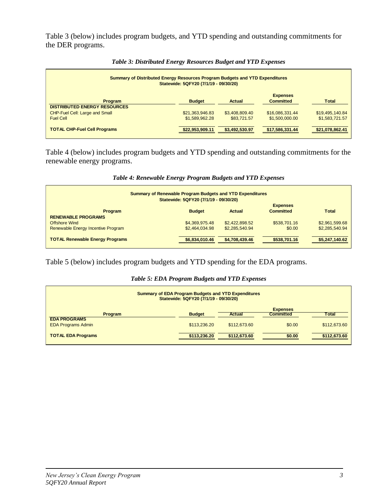Table 3 (below) includes program budgets, and YTD spending and outstanding commitments for the DER programs.

| Summary of Distributed Energy Resources Program Budgets and YTD Expenditures<br>Statewide: 5QFY20 (7/1/19 - 09/30/20) |                 |                |                  |                 |  |  |
|-----------------------------------------------------------------------------------------------------------------------|-----------------|----------------|------------------|-----------------|--|--|
|                                                                                                                       |                 |                | <b>Expenses</b>  |                 |  |  |
| Program<br><b>DISTRIBUTED ENERGY RESOURCES</b>                                                                        | <b>Budget</b>   | Actual         | <b>Committed</b> | <b>Total</b>    |  |  |
| CHP-Fuel Cell: Large and Small                                                                                        | \$21,363,946.83 | \$3,408,809.40 | \$16,086,331.44  | \$19,495,140.84 |  |  |
| <b>Fuel Cell</b>                                                                                                      | \$1,589,962.28  | \$83,721.57    | \$1,500,000.00   | \$1,583,721.57  |  |  |
| <b>TOTAL CHP-Fuel Cell Programs</b>                                                                                   | \$22,953,909.11 | \$3,492,530.97 | \$17,586,331.44  | \$21,078,862.41 |  |  |

#### *Table 3: Distributed Energy Resources Budget and YTD Expenses*

Table 4 (below) includes program budgets and YTD spending and outstanding commitments for the renewable energy programs.

| Table 4: Renewable Energy Program Budgets and YTD Expenses |  |  |  |  |  |
|------------------------------------------------------------|--|--|--|--|--|
|------------------------------------------------------------|--|--|--|--|--|

| <b>Summary of Renewable Program Budgets and YTD Expenditures</b><br>Statewide: 5QFY20 (7/1/19 - 09/30/20) |                |                |                                     |                |  |  |
|-----------------------------------------------------------------------------------------------------------|----------------|----------------|-------------------------------------|----------------|--|--|
| <b>Program</b>                                                                                            | <b>Budget</b>  | Actual         | <b>Expenses</b><br><b>Committed</b> | <b>Total</b>   |  |  |
| <b>RENEWABLE PROGRAMS</b>                                                                                 |                |                |                                     |                |  |  |
| <b>Offshore Wind</b>                                                                                      | \$4,369,975.48 | \$2,422,898.52 | \$538,701.16                        | \$2,961,599.68 |  |  |
| Renewable Energy Incentive Program                                                                        | \$2.464.034.98 | \$2,285,540.94 | \$0.00                              | \$2,285,540.94 |  |  |
| <b>TOTAL Renewable Energy Programs</b>                                                                    | \$6,834,010.46 | \$4,708,439.46 | \$538,701.16                        | \$5,247,140.62 |  |  |

Table 5 (below) includes program budgets and YTD spending for the EDA programs.

#### *Table 5: EDA Program Budgets and YTD Expenses*

| <b>Summary of EDA Program Budgets and YTD Expenditures</b><br>Statewide: 5QFY20 (7/1/19 - 09/30/20) |               |              |                  |              |  |
|-----------------------------------------------------------------------------------------------------|---------------|--------------|------------------|--------------|--|
|                                                                                                     |               |              | <b>Expenses</b>  |              |  |
| <b>Program</b>                                                                                      | <b>Budget</b> | Actual       | <b>Committed</b> | Total        |  |
| <b>EDA PROGRAMS</b>                                                                                 |               |              |                  |              |  |
| <b>EDA Programs Admin</b>                                                                           | \$113,236.20  | \$112,673,60 | \$0.00           | \$112,673.60 |  |
|                                                                                                     |               |              |                  |              |  |
| <b>TOTAL EDA Programs</b>                                                                           | \$113,236.20  | \$112,673,60 | \$0.00           | \$112,673.60 |  |
|                                                                                                     |               |              |                  |              |  |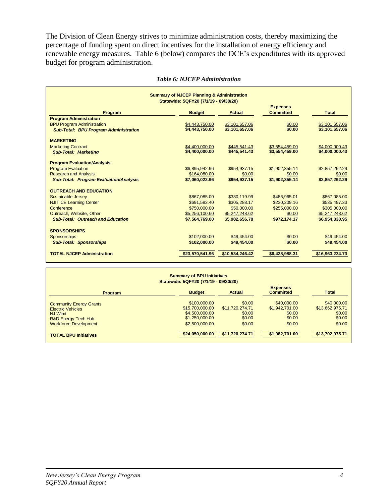The Division of Clean Energy strives to minimize administration costs, thereby maximizing the percentage of funding spent on direct incentives for the installation of energy efficiency and renewable energy measures. Table 6 (below) compares the DCE's expenditures with its approved budget for program administration.

| <b>Summary of NJCEP Planning &amp; Administration</b><br>Statewide: 5QFY20 (7/1/19 - 09/30/20) |                 |                 |                  |                 |  |  |
|------------------------------------------------------------------------------------------------|-----------------|-----------------|------------------|-----------------|--|--|
|                                                                                                |                 |                 | <b>Expenses</b>  |                 |  |  |
| Program                                                                                        | <b>Budget</b>   | Actual          | <b>Committed</b> | <b>Total</b>    |  |  |
| <b>Program Administration</b>                                                                  |                 |                 |                  |                 |  |  |
| <b>BPU Program Administration</b>                                                              | \$4,443,750.00  | \$3,101,657.06  | \$0.00           | \$3,101,657.06  |  |  |
| <b>Sub-Total: BPU Program Administration</b>                                                   | \$4,443,750.00  | \$3,101,657.06  | \$0.00           | \$3,101,657.06  |  |  |
|                                                                                                |                 |                 |                  |                 |  |  |
| <b>MARKETING</b>                                                                               |                 |                 |                  |                 |  |  |
| <b>Marketing Contract</b>                                                                      | \$4,400,000.00  | \$445,541.43    | \$3.554.459.00   | \$4,000,000.43  |  |  |
| <b>Sub-Total: Marketing</b>                                                                    | \$4,400,000.00  | \$445,541.43    | \$3,554,459.00   | \$4,000,000.43  |  |  |
| <b>Program Evaluation/Analysis</b>                                                             |                 |                 |                  |                 |  |  |
| <b>Program Evaluation</b>                                                                      | \$6,895,942.96  | \$954.937.15    | \$1,902,355.14   | \$2,857,292.29  |  |  |
| <b>Research and Analysis</b>                                                                   | \$164,080.00    | \$0.00          | \$0.00           | \$0.00          |  |  |
| <b>Sub-Total: Program Evaluation/Analysis</b>                                                  | \$7,060,022.96  | \$954.937.15    | \$1,902,355.14   | \$2,857,292.29  |  |  |
|                                                                                                |                 |                 |                  |                 |  |  |
| <b>OUTREACH AND EDUCATION</b>                                                                  |                 |                 |                  |                 |  |  |
| Sustainable Jersey                                                                             | \$867,085.00    | \$380,119.99    | \$486,965.01     | \$867,085.00    |  |  |
| <b>NJIT CE Learning Center</b>                                                                 | \$691,583.40    | \$305,288.17    | \$230,209.16     | \$535,497.33    |  |  |
| Conference                                                                                     | \$750,000.00    | \$50,000.00     | \$255,000.00     | \$305,000.00    |  |  |
| Outreach, Website, Other                                                                       | \$5,256,100.60  | \$5,247,248.62  | \$0.00           | \$5,247,248.62  |  |  |
| <b>Sub-Total: Outreach and Education</b>                                                       | \$7,564,769.00  | \$5.982.656.78  | \$972,174.17     | \$6.954,830.95  |  |  |
|                                                                                                |                 |                 |                  |                 |  |  |
| <b>SPONSORSHIPS</b>                                                                            |                 |                 |                  |                 |  |  |
| <b>Sponsorships</b>                                                                            | \$102,000.00    | \$49,454.00     | \$0.00           | \$49,454.00     |  |  |
| <b>Sub-Total: Sponsorships</b>                                                                 | \$102.000.00    | \$49,454.00     | \$0.00           | \$49,454.00     |  |  |
| <b>TOTAL NJCEP Administration</b>                                                              | \$23,570,541.96 | \$10,534,246.42 | \$6,428,988.31   | \$16,963,234.73 |  |  |

#### *Table 6: NJCEP Administration*

| <b>Summary of BPU Initiatives</b><br>Statewide: 5QFY20 (7/1/19 - 09/30/20)                                                                     |                                                                                       |                                                         |                                                             |                                                              |  |  |
|------------------------------------------------------------------------------------------------------------------------------------------------|---------------------------------------------------------------------------------------|---------------------------------------------------------|-------------------------------------------------------------|--------------------------------------------------------------|--|--|
| <b>Program</b>                                                                                                                                 | <b>Budget</b>                                                                         | Actual                                                  | <b>Expenses</b><br><b>Committed</b>                         | <b>Total</b>                                                 |  |  |
| <b>Community Energy Grants</b><br><b>Electric Vehicles</b><br><b>NJ Wind</b><br><b>R&amp;D Energy Tech Hub</b><br><b>Workforce Development</b> | \$100,000,00<br>\$15,700,000,00<br>\$4,500,000,00<br>\$1,250,000.00<br>\$2,500,000.00 | \$0.00<br>\$11,720,274.71<br>\$0.00<br>\$0.00<br>\$0.00 | \$40,000,00<br>\$1,942,701.00<br>\$0.00<br>\$0.00<br>\$0.00 | \$40,000.00<br>\$13,662,975.71<br>\$0.00<br>\$0.00<br>\$0.00 |  |  |
| <b>TOTAL BPU Initiatives</b>                                                                                                                   | \$24,050,000,00                                                                       | \$11,720,274.71                                         | \$1,982,701.00                                              | \$13,702,975.71                                              |  |  |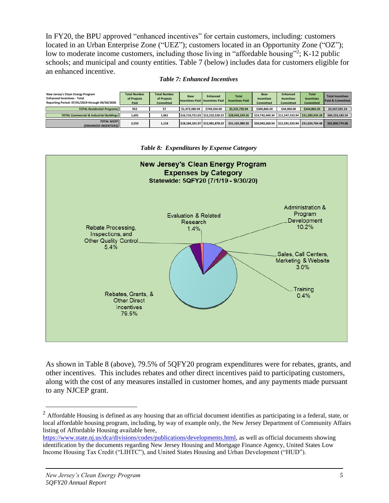In FY20, the BPU approved "enhanced incentives" for certain customers, including: customers located in an Urban Enterprise Zone ("UEZ"); customers located in an Opportunity Zone ("OZ"); low to moderate income customers, including those living in "affordable housing"<sup>2</sup>; K-12 public schools; and municipal and county entities. Table 7 (below) includes data for customers eligible for an enhanced incentive.

#### *Table 7: Enhanced Incentives*

| New Jersey's Clean Energy Program<br><b>Enhanced Incentives - Total</b><br>Reporting Period: 07/01/2019 through 09/30/2020 | <b>Total Number</b><br>of Projects<br>Paid | <b>Total Number</b><br>of Projects<br><b>Committed</b> | <b>Base</b><br>Incentives Paid   Incentives Paid | <b>Enhanced</b>                 | <b>Total</b><br><b>Incentives Paid</b> | <b>Base</b><br><b>Incentives</b><br><b>Committed</b> | <b>Enhanced</b><br><b>Incentives</b><br><b>Committed</b> | <b>Total</b><br><b>Incentives</b><br><b>Committed</b> | <b>Total Incentives</b><br><b>Paid &amp; Committed</b> |
|----------------------------------------------------------------------------------------------------------------------------|--------------------------------------------|--------------------------------------------------------|--------------------------------------------------|---------------------------------|----------------------------------------|------------------------------------------------------|----------------------------------------------------------|-------------------------------------------------------|--------------------------------------------------------|
| <b>TOTAL Residential Programs</b>                                                                                          | 952                                        | 57                                                     | \$1,473,380.94                                   | \$749.350.00                    | \$2.222.730.94                         | \$300,860,20                                         | \$44,000.00                                              | \$344,860.20                                          | \$2,567,591.14                                         |
| <b>TOTAL Commercial &amp; Industrial Buildings II</b>                                                                      | 1.601                                      | 1.061                                                  |                                                  | \$16,710,721.03 \$12,232,528.23 | \$28,943,249.26                        | \$19.742.400.34                                      |                                                          | \$11.547.533.94 \$31.289.934.28                       | \$60.233.183.54                                        |
| <b>TOTAL NJCEP II</b><br><b>(ENHANCED INCENTIVES)</b>                                                                      | 2.553                                      | 1,118                                                  | \$18,184,101.97 \$12,981,878.23                  |                                 | \$31.165.980.20                        | \$20.043.260.54                                      | \$11.591.533.94                                          | \$31.634.794.48                                       | \$62,800,774.68                                        |



*Table 8: Expenditures by Expense Category*

As shown in Table 8 (above), 79.5% of 5QFY20 program expenditures were for rebates, grants, and other incentives. This includes rebates and other direct incentives paid to participating customers, along with the cost of any measures installed in customer homes, and any payments made pursuant to any NJCEP grant.

 $2\text{ A}$  Affordable Housing is defined as any housing that an official document identifies as participating in a federal, state, or local affordable housing program, including, by way of example only, the New Jersey Department of Community Affairs listing of Affordable Housing available here,

[https://www.state.nj.us/dca/divisions/codes/publications/developments.html,](https://www.state.nj.us/dca/divisions/codes/publications/developments.html) as well as official documents showing identification by the documents regarding New Jersey Housing and Mortgage Finance Agency, United States Low Income Housing Tax Credit ("LIHTC"), and United States Housing and Urban Development ("HUD").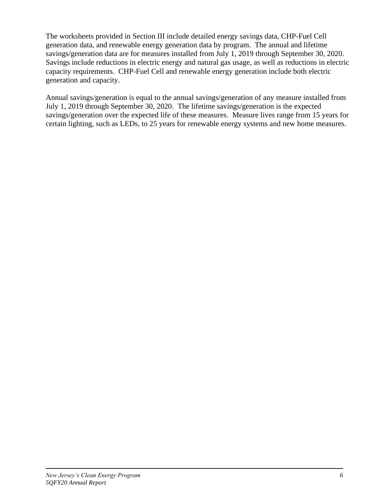The worksheets provided in Section III include detailed energy savings data, CHP-Fuel Cell generation data, and renewable energy generation data by program. The annual and lifetime savings/generation data are for measures installed from July 1, 2019 through September 30, 2020. Savings include reductions in electric energy and natural gas usage, as well as reductions in electric capacity requirements. CHP-Fuel Cell and renewable energy generation include both electric generation and capacity.

Annual savings/generation is equal to the annual savings/generation of any measure installed from July 1, 2019 through September 30, 2020. The lifetime savings/generation is the expected savings/generation over the expected life of these measures. Measure lives range from 15 years for certain lighting, such as LEDs, to 25 years for renewable energy systems and new home measures.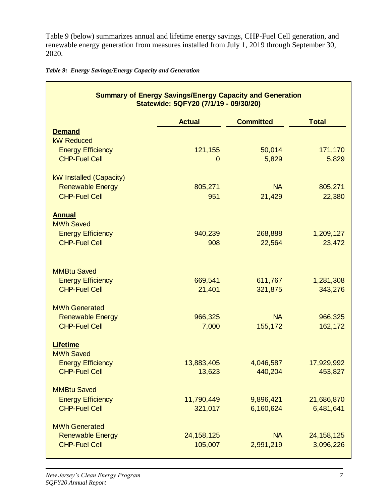Table 9 (below) summarizes annual and lifetime energy savings, CHP-Fuel Cell generation, and renewable energy generation from measures installed from July 1, 2019 through September 30, 2020.

*Table 9: Energy Savings/Energy Capacity and Generation*

| <b>Summary of Energy Savings/Energy Capacity and Generation</b><br>Statewide: 5QFY20 (7/1/19 - 09/30/20) |                        |                  |                  |  |  |  |  |
|----------------------------------------------------------------------------------------------------------|------------------------|------------------|------------------|--|--|--|--|
|                                                                                                          | <b>Actual</b>          | <b>Committed</b> | <b>Total</b>     |  |  |  |  |
| <b>Demand</b>                                                                                            |                        |                  |                  |  |  |  |  |
| <b>kW Reduced</b>                                                                                        |                        |                  |                  |  |  |  |  |
| <b>Energy Efficiency</b><br><b>CHP-Fuel Cell</b>                                                         | 121,155<br>$\mathbf 0$ | 50,014<br>5,829  | 171,170<br>5,829 |  |  |  |  |
|                                                                                                          |                        |                  |                  |  |  |  |  |
| kW Installed (Capacity)                                                                                  |                        |                  |                  |  |  |  |  |
| <b>Renewable Energy</b>                                                                                  | 805,271                | <b>NA</b>        | 805,271          |  |  |  |  |
| <b>CHP-Fuel Cell</b>                                                                                     | 951                    | 21,429           | 22,380           |  |  |  |  |
| <b>Annual</b>                                                                                            |                        |                  |                  |  |  |  |  |
| <b>MWh Saved</b>                                                                                         |                        |                  |                  |  |  |  |  |
| <b>Energy Efficiency</b>                                                                                 | 940,239                | 268,888          | 1,209,127        |  |  |  |  |
| <b>CHP-Fuel Cell</b>                                                                                     | 908                    | 22,564           | 23,472           |  |  |  |  |
|                                                                                                          |                        |                  |                  |  |  |  |  |
| <b>MMBtu Saved</b>                                                                                       |                        |                  |                  |  |  |  |  |
| <b>Energy Efficiency</b>                                                                                 | 669,541                | 611,767          | 1,281,308        |  |  |  |  |
| <b>CHP-Fuel Cell</b>                                                                                     | 21,401                 | 321,875          | 343,276          |  |  |  |  |
| <b>MWh Generated</b>                                                                                     |                        |                  |                  |  |  |  |  |
| <b>Renewable Energy</b>                                                                                  | 966,325                | <b>NA</b>        | 966,325          |  |  |  |  |
| <b>CHP-Fuel Cell</b>                                                                                     | 7,000                  | 155,172          | 162,172          |  |  |  |  |
|                                                                                                          |                        |                  |                  |  |  |  |  |
| <b>Lifetime</b>                                                                                          |                        |                  |                  |  |  |  |  |
| <b>MWh Saved</b><br><b>Energy Efficiency</b>                                                             | 13,883,405             | 4,046,587        | 17,929,992       |  |  |  |  |
| <b>CHP-Fuel Cell</b>                                                                                     | 13,623                 | 440,204          | 453,827          |  |  |  |  |
|                                                                                                          |                        |                  |                  |  |  |  |  |
| <b>MMBtu Saved</b>                                                                                       |                        |                  |                  |  |  |  |  |
| <b>Energy Efficiency</b><br><b>CHP-Fuel Cell</b>                                                         | 11,790,449             | 9,896,421        | 21,686,870       |  |  |  |  |
|                                                                                                          | 321,017                | 6,160,624        | 6,481,641        |  |  |  |  |
| <b>MWh Generated</b>                                                                                     |                        |                  |                  |  |  |  |  |
| <b>Renewable Energy</b>                                                                                  | 24, 158, 125           | <b>NA</b>        | 24, 158, 125     |  |  |  |  |
| <b>CHP-Fuel Cell</b>                                                                                     | 105,007                | 2,991,219        | 3,096,226        |  |  |  |  |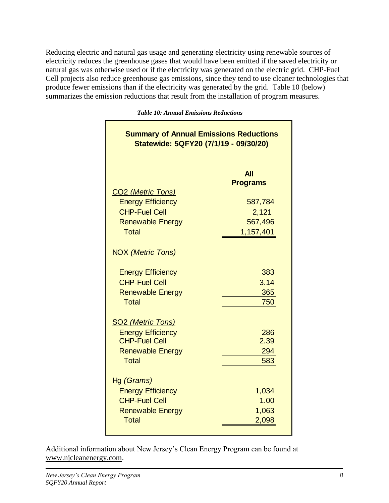Reducing electric and natural gas usage and generating electricity using renewable sources of electricity reduces the greenhouse gases that would have been emitted if the saved electricity or natural gas was otherwise used or if the electricity was generated on the electric grid. CHP-Fuel Cell projects also reduce greenhouse gas emissions, since they tend to use cleaner technologies that produce fewer emissions than if the electricity was generated by the grid. Table 10 (below) summarizes the emission reductions that result from the installation of program measures.

> **All Programs** CO2 *(Metric Tons)* Energy Efficiency 687,784 CHP-Fuel Cell 2,121 Renewable Energy 667,496 Total 1,157,401 NOX *(Metric Tons)* Energy Efficiency **383** CHP-Fuel Cell 3.14 Renewable Energy 365 Total 750 SO2 *(Metric Tons)* **Energy Efficiency** 286 CHP-Fuel Cell 2.39 Renewable Energy 294 Total 583 Hg *(Grams)* Energy Efficiency 1,034 CHP-Fuel Cell 1.00 Renewable Energy 1,063 Total 2,098 **Summary of Annual Emissions Reductions Statewide: 5QFY20 (7/1/19 - 09/30/20)**

*Table 10: Annual Emissions Reductions*

Additional information about New Jersey's Clean Energy Program can be found at [www.njcleanenergy.com.](http://www.njcleanenergy.com/)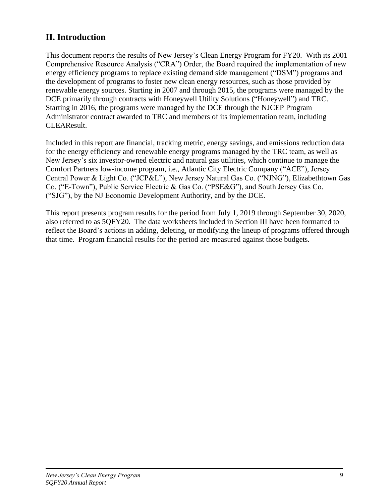## **II. Introduction**

This document reports the results of New Jersey's Clean Energy Program for FY20. With its 2001 Comprehensive Resource Analysis ("CRA") Order, the Board required the implementation of new energy efficiency programs to replace existing demand side management ("DSM") programs and the development of programs to foster new clean energy resources, such as those provided by renewable energy sources. Starting in 2007 and through 2015, the programs were managed by the DCE primarily through contracts with Honeywell Utility Solutions ("Honeywell") and TRC. Starting in 2016, the programs were managed by the DCE through the NJCEP Program Administrator contract awarded to TRC and members of its implementation team, including CLEAResult.

Included in this report are financial, tracking metric, energy savings, and emissions reduction data for the energy efficiency and renewable energy programs managed by the TRC team, as well as New Jersey's six investor-owned electric and natural gas utilities, which continue to manage the Comfort Partners low-income program, i.e., Atlantic City Electric Company ("ACE"), Jersey Central Power & Light Co. ("JCP&L"), New Jersey Natural Gas Co. ("NJNG"), Elizabethtown Gas Co. ("E-Town"), Public Service Electric & Gas Co. ("PSE&G"), and South Jersey Gas Co. ("SJG"), by the NJ Economic Development Authority, and by the DCE.

This report presents program results for the period from July 1, 2019 through September 30, 2020, also referred to as 5QFY20. The data worksheets included in Section III have been formatted to reflect the Board's actions in adding, deleting, or modifying the lineup of programs offered through that time. Program financial results for the period are measured against those budgets.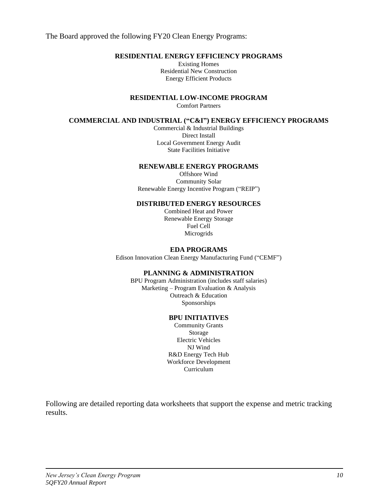The Board approved the following FY20 Clean Energy Programs:

#### **RESIDENTIAL ENERGY EFFICIENCY PROGRAMS**

Existing Homes Residential New Construction Energy Efficient Products

**RESIDENTIAL LOW-INCOME PROGRAM**

Comfort Partners

#### **COMMERCIAL AND INDUSTRIAL ("C&I") ENERGY EFFICIENCY PROGRAMS**

Commercial & Industrial Buildings Direct Install Local Government Energy Audit State Facilities Initiative

#### **RENEWABLE ENERGY PROGRAMS**

Offshore Wind Community Solar Renewable Energy Incentive Program ("REIP")

#### **DISTRIBUTED ENERGY RESOURCES**

Combined Heat and Power Renewable Energy Storage Fuel Cell Microgrids

#### **EDA PROGRAMS**

Edison Innovation Clean Energy Manufacturing Fund ("CEMF")

#### **PLANNING & ADMINISTRATION**

BPU Program Administration (includes staff salaries) Marketing – Program Evaluation & Analysis Outreach & Education Sponsorships

#### **BPU INITIATIVES**

Community Grants Storage Electric Vehicles NJ Wind R&D Energy Tech Hub Workforce Development Curriculum

Following are detailed reporting data worksheets that support the expense and metric tracking results.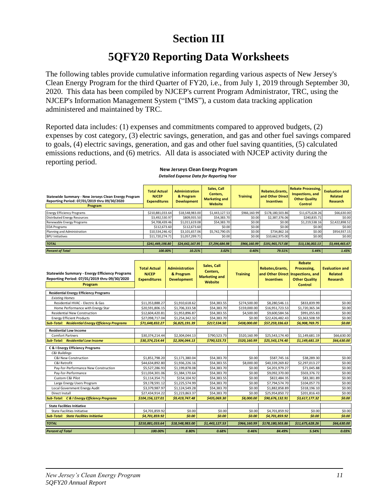## **Section III**

## **5QFY20 Reporting Data Worksheets**

The following tables provide cumulative information regarding various aspects of New Jersey's Clean Energy Program for the third Quarter of FY20, i.e., from July 1, 2019 through September 30, 2020. This data has been compiled by NJCEP's current Program Administrator, TRC, using the NJCEP's Information Management System ("IMS"), a custom data tracking application administered and maintained by TRC.

Reported data includes: (1) expenses and commitments compared to approved budgets, (2) expenses by cost category, (3) electric savings, generation, and gas and other fuel savings compared to goals, (4) electric savings, generation, and gas and other fuel saving quantities, (5) calculated emissions reductions, and (6) metrics. All data is associated with NJCEP activity during the reporting period.

| Statewide Summary - New Jerseys Clean Energy Program<br>Reporting Period: 07/01/2019 thru 09/30/2020<br>Program | <b>Total Actual</b><br><b>NJCEP</b><br><b>Expenditures</b> | <b>Administration</b><br>& Program<br><b>Development</b> | Sales, Call<br>Centers,<br><b>Marketing and</b><br>Website | <b>Training</b> | Rebates, Grants,<br>and Other Direct<br><b>Incentives</b> | <b>Rebate Processing,</b><br>Inspections, and<br><b>Other Quality</b><br><b>Control</b> | <b>Evaluation and</b><br>Related<br><b>Research</b> |
|-----------------------------------------------------------------------------------------------------------------|------------------------------------------------------------|----------------------------------------------------------|------------------------------------------------------------|-----------------|-----------------------------------------------------------|-----------------------------------------------------------------------------------------|-----------------------------------------------------|
| <b>Energy Efficiency Programs</b>                                                                               | \$210,881,033.64                                           | \$18,548,983.00                                          | \$1,443,127.53                                             | \$966,160.99    | \$178,180,503.86                                          | \$11,675,628.26                                                                         | \$66,630.00                                         |
| <b>Distributed Energy Resources</b>                                                                             | \$3,492,530.97                                             | \$809,935.50                                             | \$54,383.70                                                | \$0.00          | \$2,387,376.06                                            | \$240,835.71                                                                            | \$0.00                                              |
| Renewable Energy Programs                                                                                       | \$4,708,439,46                                             | \$1,011,619.08                                           | \$54,383.70                                                | \$0.00          | \$0.00                                                    | \$1,219,538.16                                                                          | \$2,422,898.52                                      |
| <b>EDA Programs</b>                                                                                             | \$112,673.60                                               | \$112,673,60                                             | \$0.00                                                     | \$0.00          | \$0.00                                                    | \$0.00                                                                                  | \$0.00                                              |
| Planning and Administration                                                                                     | \$10.534.246.42                                            | \$3,101,657.06                                           | \$5,742,790.05                                             | \$0.00          | \$734.862.16                                              | \$0.00                                                                                  | \$954,937.15                                        |
| <b>BPU Initiatives</b>                                                                                          | \$11,720,274,71                                            | \$1,057,299.71                                           | \$0.00                                                     | \$0.00          | \$10,662,975.00                                           | \$0.00                                                                                  | \$0.00                                              |
| <b>TOTAL</b>                                                                                                    | \$241.449.198.80                                           | \$24,642,167.95                                          | \$7,294,684.98                                             | \$966.160.99    | \$191,965,717.08                                          | \$13,136,002.13                                                                         | \$3,444,465.67                                      |
| <b>Percent of Total</b>                                                                                         | 100.00%                                                    | 10.21%                                                   | 3.02%                                                      | 0.40%           | 79.51%                                                    | 5.44%                                                                                   | 1.43%                                               |

#### **New Jerseys Clean Energy Program** *Detailed Expense Data for Reporting Year*

| <b>Statewide Summary - Energy Efficiency Programs</b><br>Reporting Period: 07/01/2019 thru 09/30/2020<br>Program | <b>Total Actual</b><br><b>NJCEP</b><br><b>Expenditures</b> | <b>Administration</b><br>& Program<br><b>Development</b> | Sales, Call<br>Centers,<br><b>Marketing and</b><br>Website | <b>Training</b> | Rebates, Grants,<br>and Other Direct<br><b>Incentives</b> | <b>Rebate</b><br>Processing.<br>Inspections, and<br><b>Other Quality</b><br><b>Control</b> | <b>Evaluation and</b><br><b>Related</b><br><b>Research</b> |
|------------------------------------------------------------------------------------------------------------------|------------------------------------------------------------|----------------------------------------------------------|------------------------------------------------------------|-----------------|-----------------------------------------------------------|--------------------------------------------------------------------------------------------|------------------------------------------------------------|
|                                                                                                                  |                                                            |                                                          |                                                            |                 |                                                           |                                                                                            |                                                            |
| <b>Residential Energy Efficiency Programs</b>                                                                    |                                                            |                                                          |                                                            |                 |                                                           |                                                                                            |                                                            |
| <b>Existing Homes</b>                                                                                            |                                                            |                                                          |                                                            |                 |                                                           |                                                                                            |                                                            |
| Residential HVAC - Electric & Gas                                                                                | \$11,353,888.27                                            | \$1,910,618.62                                           | \$54,383.55                                                | \$274,500.00    | \$8,280,546.11                                            | \$833,839.99                                                                               | \$0.00                                                     |
| Home Performance with Energy Star                                                                                | \$20,591,806.15                                            | \$1,706,333.58                                           | \$54,383.70                                                | \$159,000.00    | \$16,951,723.53                                           | \$1,720,365.34                                                                             | \$0.00                                                     |
| <b>Residential New Construction</b>                                                                              | \$12,604,420.81                                            | \$1,953,896.87                                           | \$54,383.55                                                | \$4,500.00      | \$9,600,584.56                                            | \$991,055.83                                                                               | \$0.00                                                     |
| <b>Energy Efficient Products</b>                                                                                 | \$27,098,717.04                                            | \$1,254,342.32                                           | \$54,383.70                                                | \$0.00          | \$22,426,482.43                                           | \$3,363,508.59                                                                             | \$0.00                                                     |
| <b>Sub-Total: Residential Energy Efficiency Programs</b>                                                         | \$71,648,832.27                                            | \$6,825,191.39                                           | \$217,534.50                                               | \$438,000.00    | \$57,259,336.63                                           | \$6,908,769.75                                                                             | \$0.00                                                     |
| <b>Residential Low Income</b>                                                                                    |                                                            |                                                          |                                                            |                 |                                                           |                                                                                            |                                                            |
| <b>Comfort Partners</b>                                                                                          | \$30,374,214.44                                            | \$2,304,044.13                                           | \$790,523.73                                               | \$520,160.99    | \$25,543,174.40                                           | \$1,149,681.19                                                                             | \$66,630.00                                                |
| <b>Sub-Total: Residential Low Income</b>                                                                         | \$30,374,214.44                                            | \$2,304,044.13                                           | \$790,523.73                                               | \$520,160.99    | \$25,543,174.40                                           | \$1,149,681.19                                                                             | \$66,630.00                                                |
| <b>C &amp; I Energy Efficiency Programs</b>                                                                      |                                                            |                                                          |                                                            |                 |                                                           |                                                                                            |                                                            |
| <b>C&amp;I Buildings</b>                                                                                         |                                                            |                                                          |                                                            |                 |                                                           |                                                                                            |                                                            |
| C&I New Construction                                                                                             | \$1,851,798.20                                             | \$1,171,380.04                                           | \$54,383.70                                                | \$0.00          | \$587,745.16                                              | \$38,289.30                                                                                | \$0.00                                                     |
| C&I Retrofit                                                                                                     | \$44,634,892.80                                            | \$1,936,226.16                                           | \$54,383.55                                                | \$8,000.00      | \$40,339,269.82                                           | \$2,297,013.27                                                                             | \$0.00                                                     |
| Pay-for-Performance New Construction                                                                             | \$5,527,286.93                                             | \$1,199,878.08                                           | \$54,383.70                                                | \$0.00          | \$4,201,979.27                                            | \$71,045.88                                                                                | \$0.00                                                     |
| Pay-for-Performance                                                                                              | \$11,034,301.06                                            | \$1,384,170.64                                           | \$54,383.70                                                | \$0.00          | \$9,092,370.00                                            | \$503,376.72                                                                               | \$0.00                                                     |
| Custom C&I Pilot                                                                                                 | \$1,114,354.71                                             | \$154,104.92                                             | \$54,383.55                                                | \$0.00          | \$822,484.35                                              | \$83,381.89                                                                                | \$0.00                                                     |
| Large Energy Users Program                                                                                       | \$9,178,591.12                                             | \$1,225,574.99                                           | \$54,383.70                                                | \$0.00          | \$7,794,574.70                                            | \$104.057.73                                                                               | \$0.00                                                     |
| Local Government Energy Audit                                                                                    | \$3,379,987.97                                             | \$1,124,549.28                                           | \$54,383.70                                                | \$0.00          | \$1,882,858.89                                            | \$318,196.10                                                                               | \$0.00                                                     |
| Direct Install                                                                                                   | \$27,434,914.22                                            | \$1,223,863.37                                           | \$54,383.70                                                | \$0.00          | \$25,954,850.72                                           | \$201,816.43                                                                               | \$0.00                                                     |
| <b>Sub-Total: C &amp; I Energy Efficiency Programs</b>                                                           | \$104,156,127.01                                           | \$9,419,747.48                                           | \$435,069.30                                               | \$8,000.00      | \$90,676,132.91                                           | \$3,617,177.32                                                                             | \$0.00                                                     |
| <b>State Facilities Initiative</b>                                                                               |                                                            |                                                          |                                                            |                 |                                                           |                                                                                            |                                                            |
| <b>State Facilities Initiative</b>                                                                               | \$4,701,859.92                                             | \$0.00                                                   | \$0.00                                                     | \$0.00          | \$4,701,859.92                                            | \$0.00                                                                                     | \$0.00                                                     |
| <b>Sub-Total: State Facilities Initiative</b>                                                                    | \$4,701,859.92                                             | \$0.00                                                   | \$0.00                                                     | \$0.00          | \$4,701,859.92                                            | \$0.00                                                                                     | \$0.00                                                     |
| <b>TOTAL</b>                                                                                                     | \$210,881,033.64                                           | \$18.548.983.00                                          | \$1,443,127.53                                             | \$966,160.99    | \$178,180,503.86                                          | \$11,675,628.26                                                                            | \$66,630.00                                                |
| <b>Percent of Total</b>                                                                                          | 100.00%                                                    | 8.80%                                                    | 0.68%                                                      | 0.46%           | 84.49%                                                    | 5.54%                                                                                      | 0.03%                                                      |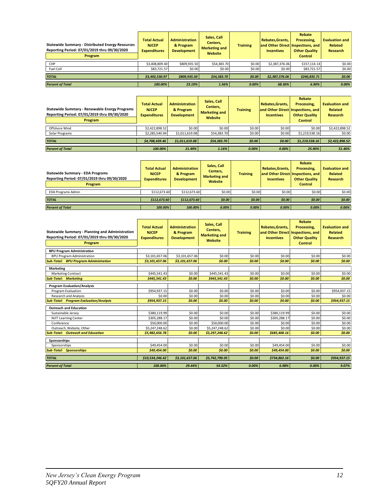| <b>Statewide Summary - Distributed Energy Resources</b><br>Reporting Period: 07/01/2019 thru 09/30/2020<br>Program | <b>Total Actual</b><br><b>NJCEP</b><br><b>Expenditures</b> | <b>Administration</b><br>& Program<br><b>Development</b> | Sales, Call<br>Centers,<br><b>Marketing and</b><br>Website | <b>Training</b> | Rebates.Grants.<br>and Other Direct Inspections, and<br><b>Incentives</b> | Rebate<br>Processing.<br><b>Other Quality</b><br><b>Control</b> | <b>Evaluation and</b><br>Related<br><b>Research</b> |
|--------------------------------------------------------------------------------------------------------------------|------------------------------------------------------------|----------------------------------------------------------|------------------------------------------------------------|-----------------|---------------------------------------------------------------------------|-----------------------------------------------------------------|-----------------------------------------------------|
| CHP                                                                                                                | \$3,408,809.40                                             | \$809,935.50                                             | \$54,383.70                                                | \$0.00          | \$2,387,376.06                                                            | \$157.114.14                                                    | \$0.00                                              |
| Fuel Cell                                                                                                          | \$83,721.57                                                | \$0.00                                                   | \$0.00                                                     | \$0.00          | \$0.00                                                                    | \$83,721.57                                                     | \$0.00                                              |
| <b>TOTAL</b>                                                                                                       | \$3.492.530.97                                             | \$809.935.50                                             | \$54,383.70                                                | \$0.00          | \$2,387,376.06                                                            | \$240.835.71                                                    | \$0.00                                              |
| <b>Percent of Total</b>                                                                                            | 100.00%                                                    | 23.19%                                                   | 1.56%                                                      | 0.00%           | 68.36%                                                                    | 6.90%                                                           | 0.00%                                               |

| Statewide Summary - Renewable Energy Programs<br>Reporting Period: 07/01/2019 thru 09/30/2020<br>Program | <b>Total Actual</b><br><b>NJCEP</b><br><b>Expenditures</b> | <b>Administration</b><br>& Program<br><b>Development</b> | Sales, Call<br>Centers,<br><b>Training</b><br><b>Marketing and</b><br>Website |        | Rebates, Grants,<br><b>Incentives</b> | Rebate<br>Processing,<br>and Other Direct Inspections, and<br><b>Other Quality</b><br><b>Control</b> | <b>Evaluation and</b><br><b>Related</b><br>Research |
|----------------------------------------------------------------------------------------------------------|------------------------------------------------------------|----------------------------------------------------------|-------------------------------------------------------------------------------|--------|---------------------------------------|------------------------------------------------------------------------------------------------------|-----------------------------------------------------|
| Offshore Wind                                                                                            | \$2.422.898.52                                             | \$0.00                                                   | \$0.00                                                                        | \$0.00 | \$0.00                                | \$0.00                                                                                               | \$2,422,898.52                                      |
| Solar Programs                                                                                           | \$2.285.540.94                                             | \$1,011,619.08                                           | \$54,383.70                                                                   | \$0.00 | \$0.00                                | \$1,219,538.16                                                                                       | \$0.00                                              |
| <b>TOTAL</b>                                                                                             | \$4.708.439.46                                             | \$1,011,619.08                                           | \$54.383.70                                                                   | \$0.00 | \$0.00                                | \$1,219,538.16                                                                                       | \$2,422,898.52                                      |
| <b>Percent of Total</b>                                                                                  | 100.00%                                                    | 21.49%                                                   | 1.16%                                                                         | 0.00%  | 0.00%                                 | 25.90%                                                                                               | 51.46%                                              |

| <b>Statewide Summary - EDA Programs</b><br>Reporting Period: 07/01/2019 thru 09/30/2020<br>Program | <b>Total Actual</b><br><b>NJCEP</b><br><b>Expenditures</b> | <b>Administration</b><br>& Program<br><b>Development</b> | Sales, Call<br>Centers.<br><b>Marketing and</b><br>Website | <b>Training</b> | Rebates, Grants,<br><b>Incentives</b> | Rebate<br>Processing.<br>and Other Direct Inspections, and<br><b>Other Quality</b><br><b>Control</b> | <b>Evaluation and</b><br>Related<br><b>Research</b> |
|----------------------------------------------------------------------------------------------------|------------------------------------------------------------|----------------------------------------------------------|------------------------------------------------------------|-----------------|---------------------------------------|------------------------------------------------------------------------------------------------------|-----------------------------------------------------|
| <b>EDA Programs Admin</b>                                                                          | \$112,673,60                                               | \$112,673,60                                             | \$0.00                                                     | \$0.00          | \$0.00                                | \$0.00                                                                                               | \$0.00                                              |
| <b>TOTAL</b>                                                                                       | \$112,673.60                                               | \$112.673.60                                             | \$0.00                                                     | 50.00           | \$0.00                                | \$0.00                                                                                               | \$0.00                                              |
| <b>Percent of Total</b>                                                                            | 100.00%                                                    | 100.00%                                                  | 0.00%                                                      | 0.00%           | 0.00%                                 | 0.00%                                                                                                | 0.00%                                               |

| <b>Statewide Summary - Planning and Administration</b><br>Reporting Period: 07/01/2019 thru 09/30/2020<br>Program | <b>Total Actual</b><br><b>NJCEP</b><br><b>Expenditures</b> | <b>Administration</b><br>& Program<br><b>Development</b> | Sales, Call<br>Centers.<br><b>Marketing and</b><br>Website | <b>Training</b> | Rebates, Grants,<br>and Other Direct Inspections, and<br><b>Incentives</b> | <b>Rebate</b><br>Processing.<br><b>Other Quality</b><br><b>Control</b> | <b>Evaluation and</b><br><b>Related</b><br><b>Research</b> |
|-------------------------------------------------------------------------------------------------------------------|------------------------------------------------------------|----------------------------------------------------------|------------------------------------------------------------|-----------------|----------------------------------------------------------------------------|------------------------------------------------------------------------|------------------------------------------------------------|
| <b>BPU Program Administration</b>                                                                                 |                                                            |                                                          |                                                            |                 |                                                                            |                                                                        |                                                            |
| <b>BPU Program Administration</b>                                                                                 | \$3,101,657.06                                             | \$3,101,657.06                                           | \$0.00                                                     | \$0.00          | \$0.00                                                                     | \$0.00                                                                 | \$0.00                                                     |
| <b>Sub-Total: BPU Program Administration</b>                                                                      | \$3,101,657.06                                             | \$3,101,657.06                                           | \$0.00                                                     | \$0.00          | \$0.00                                                                     | \$0.00                                                                 | \$0.00                                                     |
| <b>Marketing</b>                                                                                                  |                                                            |                                                          |                                                            |                 |                                                                            |                                                                        |                                                            |
| <b>Marketing Contract</b>                                                                                         | \$445,541.43                                               | \$0.00                                                   | \$445,541.43                                               | \$0.00          | \$0.00                                                                     | \$0.00                                                                 | \$0.00                                                     |
| <b>Sub-Total: Marketing</b>                                                                                       | \$445.541.43                                               | \$0.00                                                   | \$445.541.43                                               | \$0.00          | \$0.00                                                                     | \$0.00                                                                 | \$0.00                                                     |
| <b>Program Evaluation/Analysis</b>                                                                                |                                                            |                                                          |                                                            |                 |                                                                            |                                                                        |                                                            |
| Program Evaluation                                                                                                | \$954,937.15                                               | \$0.00                                                   | \$0.00                                                     | \$0.00          | \$0.00                                                                     | \$0.00                                                                 | \$954,937.15                                               |
| <b>Research and Analysis</b>                                                                                      | \$0.00                                                     | \$0.00                                                   | \$0.00                                                     | \$0.00          | \$0.00                                                                     | \$0.00                                                                 | \$0.00                                                     |
| <b>Sub-Total: Program Evaluation/Analysis</b>                                                                     | \$954.937.15                                               | \$0.00                                                   | \$0.00                                                     | \$0.00          | \$0.00                                                                     | \$0.00                                                                 | \$954,937.15                                               |
| <b>Outreach and Education</b>                                                                                     |                                                            |                                                          |                                                            |                 |                                                                            |                                                                        |                                                            |
| Sustainable Jersey                                                                                                | \$380,119.99                                               | \$0.00                                                   | \$0.00                                                     | \$0.00          | \$380,119.99                                                               | \$0.00                                                                 | \$0.00                                                     |
| <b>NJIT Learning Center</b>                                                                                       | \$305,288.17                                               | \$0.00                                                   | \$0.00                                                     | \$0.00          | \$305,288.17                                                               | \$0.00                                                                 | \$0.00                                                     |
| Conference                                                                                                        | \$50,000.00                                                | \$0.00                                                   | \$50,000.00                                                | \$0.00          | \$0.00                                                                     | \$0.00                                                                 | \$0.00                                                     |
| Outreach, Website, Other                                                                                          | \$5,247,248.62                                             | \$0.00                                                   | \$5,247,248.62                                             | \$0.00          | \$0.00                                                                     | \$0.00                                                                 | \$0.00                                                     |
| <b>Sub-Total: Outreach and Education</b>                                                                          | \$5,982,656.78                                             | \$0.00                                                   | \$5,297,248.62                                             | \$0.00          | \$685,408.16                                                               | \$0.00                                                                 | \$0.00                                                     |
| Sponsorships                                                                                                      |                                                            |                                                          |                                                            |                 |                                                                            |                                                                        |                                                            |
| Sponsorships                                                                                                      | \$49,454.00                                                | \$0.00                                                   | \$0.00                                                     | \$0.00          | \$49,454.00                                                                | \$0.00                                                                 | \$0.00                                                     |
| <b>Sub-Total: Sponsorships</b>                                                                                    | \$49,454.00                                                | \$0.00                                                   | \$0.00                                                     | \$0.00          | \$49,454.00                                                                | \$0.00                                                                 | \$0.00                                                     |
| <b>TOTAL</b>                                                                                                      | \$10,534,246.42                                            | \$3,101,657.06                                           | \$5,742,790.05                                             | \$0.00          | \$734,862.16                                                               | \$0.00                                                                 | \$954,937.15                                               |
| <b>Percent of Total</b>                                                                                           | 100.00%                                                    | 29.44%                                                   | 54.52%                                                     | 0.00%           | 6.98%                                                                      | 0.00%                                                                  | 9.07%                                                      |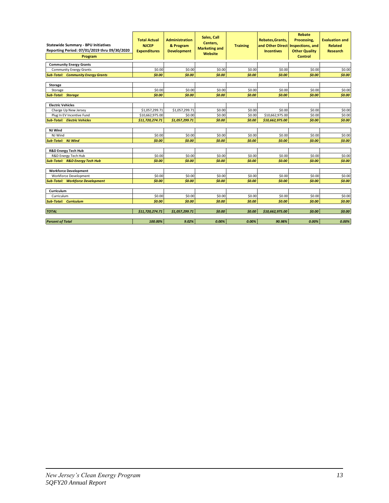| <b>Statewide Summary - BPU Initiatives</b><br>Reporting Period: 07/01/2019 thru 09/30/2020<br>Program | <b>Total Actual</b><br><b>NJCEP</b><br><b>Expenditures</b> | <b>Administration</b><br>& Program<br><b>Development</b> | Sales, Call<br>Centers.<br><b>Marketing and</b><br><b>Website</b> | <b>Training</b> | Rebates, Grants,<br>and Other Direct<br><b>Incentives</b> | <b>Rebate</b><br>Processing,<br>Inspections, and<br><b>Other Quality</b><br><b>Control</b> | <b>Evaluation and</b><br><b>Related</b><br><b>Research</b> |
|-------------------------------------------------------------------------------------------------------|------------------------------------------------------------|----------------------------------------------------------|-------------------------------------------------------------------|-----------------|-----------------------------------------------------------|--------------------------------------------------------------------------------------------|------------------------------------------------------------|
| <b>Community Energy Grants</b>                                                                        |                                                            |                                                          |                                                                   |                 |                                                           |                                                                                            |                                                            |
| <b>Community Energy Grants</b>                                                                        | \$0.00                                                     | \$0.00                                                   | \$0.00                                                            | \$0.00          | \$0.00                                                    | \$0.00                                                                                     | \$0.00                                                     |
| <b>Sub-Total: Community Energy Grants</b>                                                             | \$0.00                                                     | \$0.00                                                   | \$0.00                                                            | \$0.00          | \$0.00                                                    | \$0.00                                                                                     | \$0.00                                                     |
|                                                                                                       |                                                            |                                                          |                                                                   |                 |                                                           |                                                                                            |                                                            |
| Storage                                                                                               |                                                            |                                                          |                                                                   |                 |                                                           |                                                                                            |                                                            |
| Storage                                                                                               | \$0.00                                                     | \$0.00                                                   | \$0.00                                                            | \$0.00          | \$0.00                                                    | \$0.00                                                                                     | \$0.00                                                     |
| <b>Sub-Total: Storage</b>                                                                             | \$0.00                                                     | \$0.00                                                   | \$0.00                                                            | \$0.00          | \$0.00                                                    | \$0.00                                                                                     | \$0.00                                                     |
|                                                                                                       |                                                            |                                                          |                                                                   |                 |                                                           |                                                                                            |                                                            |
| <b>Electric Vehicles</b>                                                                              |                                                            |                                                          |                                                                   |                 |                                                           |                                                                                            |                                                            |
| Charge Up New Jersey                                                                                  | \$1,057,299.71                                             | \$1,057,299.71                                           | \$0.00                                                            | \$0.00          | \$0.00                                                    | \$0.00                                                                                     | \$0.00                                                     |
| Plug In EV Incentive Fund                                                                             | \$10,662,975.00                                            | \$0.00                                                   | \$0.00                                                            | \$0.00          | \$10,662,975.00                                           | \$0.00                                                                                     | \$0.00                                                     |
| <b>Sub-Total: Electric Vehicles</b>                                                                   | \$11,720,274.71                                            | \$1,057,299.71                                           | \$0.00                                                            | \$0.00          | \$10,662,975.00                                           | \$0.00                                                                                     | \$0.00                                                     |
|                                                                                                       |                                                            |                                                          |                                                                   |                 |                                                           |                                                                                            |                                                            |
| NJ Wind                                                                                               |                                                            |                                                          |                                                                   |                 |                                                           |                                                                                            |                                                            |
| NJ Wind                                                                                               | \$0.00                                                     | \$0.00                                                   | \$0.00                                                            | \$0.00          | \$0.00                                                    | \$0.00                                                                                     | \$0.00                                                     |
| <b>Sub-Total: NJ Wind</b>                                                                             | \$0.00                                                     | \$0.00                                                   | \$0.00                                                            | \$0.00          | \$0.00                                                    | \$0.00                                                                                     | \$0.00                                                     |
| <b>R&amp;D Energy Tech Hub</b>                                                                        |                                                            |                                                          |                                                                   |                 |                                                           |                                                                                            |                                                            |
| R&D Energy Tech Hub                                                                                   | \$0.00                                                     | \$0.00                                                   | \$0.00                                                            | \$0.00          | \$0.00                                                    | \$0.00                                                                                     | \$0.00                                                     |
| <b>Sub-Total: R&amp;D Energy Tech Hub</b>                                                             | \$0.00                                                     | \$0.00                                                   | \$0.00                                                            | \$0.00          | \$0.00                                                    | \$0.00                                                                                     | \$0.00                                                     |
|                                                                                                       |                                                            |                                                          |                                                                   |                 |                                                           |                                                                                            |                                                            |
| <b>Workforce Development</b>                                                                          |                                                            |                                                          |                                                                   |                 |                                                           |                                                                                            |                                                            |
| Workforce Development                                                                                 | \$0.00                                                     | \$0.00                                                   | \$0.00                                                            | \$0.00          | \$0.00                                                    | \$0.00                                                                                     | \$0.00                                                     |
| <b>Sub-Total: Workforce Development</b>                                                               | \$0.00                                                     | \$0.00                                                   | \$0.00                                                            | \$0.00          | \$0.00                                                    | \$0.00                                                                                     | \$0.00                                                     |
|                                                                                                       |                                                            |                                                          |                                                                   |                 |                                                           |                                                                                            |                                                            |
| Curriculum                                                                                            |                                                            |                                                          |                                                                   |                 |                                                           |                                                                                            |                                                            |
| Curriculum                                                                                            | \$0.00                                                     | \$0.00                                                   | \$0.00                                                            | \$0.00          | \$0.00                                                    | \$0.00                                                                                     | \$0.00                                                     |
| <b>Sub-Total: Curriculum</b>                                                                          | \$0.00                                                     | \$0.00                                                   | \$0.00                                                            | \$0.00          | \$0.00                                                    | \$0.00                                                                                     | \$0.00                                                     |
|                                                                                                       |                                                            |                                                          |                                                                   |                 |                                                           |                                                                                            |                                                            |
| <b>TOTAL</b>                                                                                          | \$11,720,274.71                                            | \$1,057,299.71                                           | \$0.00                                                            | \$0.00          | \$10,662,975.00                                           | \$0.00                                                                                     | \$0.00                                                     |
|                                                                                                       |                                                            |                                                          |                                                                   |                 |                                                           |                                                                                            |                                                            |
| <b>Percent of Total</b>                                                                               | 100.00%                                                    | 9.02%                                                    | 0.00%                                                             | 0.00%           | 90.98%                                                    | 0.00%                                                                                      | 0.00%                                                      |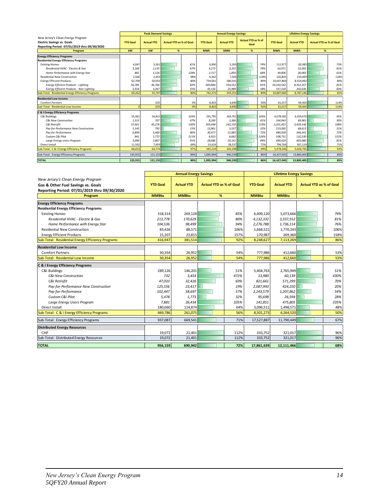|                                                   |                 | <b>Peak Demand Savings</b> |                                |      |                 | <b>Annual Energy Savings</b> |                                   |      |                 | <b>Lifetime Energy Savings</b> |                                |      |
|---------------------------------------------------|-----------------|----------------------------|--------------------------------|------|-----------------|------------------------------|-----------------------------------|------|-----------------|--------------------------------|--------------------------------|------|
| New Jersey's Clean Energy Program                 |                 |                            |                                |      |                 |                              |                                   |      |                 |                                |                                |      |
| <b>Electric Savings vs. Goals</b>                 | <b>YTD Goal</b> | <b>Actual YTD</b>          | <b>Actual YTD as % of Goal</b> |      | <b>YTD Goal</b> | <b>Actual YTD</b>            | <b>Actual YTD as % of</b><br>Goal |      | <b>YTD Goal</b> | <b>Actual YTD</b>              | <b>Actual YTD as % of Goal</b> |      |
| Reporting Period: 07/01/2019 thru 09/30/2020      |                 |                            |                                |      |                 |                              |                                   |      |                 |                                |                                |      |
| Program                                           | kw              | kW                         | %                              |      | <b>MWh</b>      | <b>MWh</b>                   | %                                 |      | <b>MWh</b>      | <b>MWh</b>                     | %                              |      |
| <b>Energy Efficiency Programs</b>                 |                 |                            |                                |      |                 |                              |                                   |      |                 |                                |                                |      |
| <b>Residential Energy Efficiency Programs</b>     |                 |                            |                                |      |                 |                              |                                   |      |                 |                                |                                |      |
| <b>Existing Homes</b>                             | 4,047           | 3,261                      |                                | 81%  | 6,990           | 5,205                        |                                   | 74%  | 112,977         | 82,085                         |                                | 73%  |
| Residential HVAC - Electric & Gas                 | 3.166           | 2,135                      |                                | 67%  | 4,273           | 3.355                        |                                   | 79%  | 63,971          | 52,002                         |                                | 81%  |
| Home Performance with Energy Star                 | 881             | 1,126                      |                                | 128% | 2.717           | 1.850                        |                                   | 68%  | 49.006          | 30,083                         |                                | 61%  |
| <b>Residential New Construction</b>               | 2,506           | 2,453                      |                                | 98%  | 6,342           | 7,505                        |                                   | 118% | 126,845         | 150,069                        |                                | 118% |
| <b>Energy Efficient Products</b>                  | 62.709          | 50,033                     |                                | 80%  | 729,041         | 580,541                      |                                   | 80%  | 10,647,860      | 8,554,992                      |                                | 80%  |
| <b>Energy Efficient Products - Lighting</b>       | 56,785          | 46,766                     |                                | 82%  | 683,884         | 554,552                      |                                   | 81%  | 10,310,542      | 8,352,357                      |                                | 81%  |
| Energy Efficient Products - Non-Lighting          | 5,924           | 3,267                      |                                | 55%  | 45,156          | 25,989                       |                                   | 58%  | 337,318         | 202,636                        |                                | 60%  |
| Sub-Total: Residential Energy Efficiency Programs | 69.262          | 55,747                     |                                | 80%  | 742,373         | 593.251                      |                                   | 80%  | 10.887.682      | 8,787,146                      |                                | 81%  |
| <b>Residential Low Income</b>                     |                 |                            |                                |      |                 |                              |                                   |      |                 |                                |                                |      |
| <b>Comfort Partners</b>                           |                 | 635                        |                                | 0%   | 8,403           | 4,690                        |                                   | 56%  | 61,017          | 69,464                         |                                | 114% |
| Sub-Total: Residential Low Income                 | $\Omega$        | 635                        |                                | 0%   | 8,403           | 4,690                        |                                   | 56%  | 61,017          | 69,464                         |                                | 114% |
| <b>C &amp; I Energy Efficiency Programs</b>       |                 |                            |                                |      |                 |                              |                                   |      |                 |                                |                                |      |
| C&I Buildings                                     | 55,061          | 56,815                     |                                | 103% | 291,795         | 303,761                      |                                   | 104% | 4,678,582       | 4,459,676                      |                                | 95%  |
| <b>C&amp;I New Construction</b>                   | 1,515           | 707                        |                                | 47%  | 8,260           | 3,366                        |                                   | 41%  | 164,943         | 49,965                         |                                | 30%  |
| C&I Retrofit                                      | 37.661          | 45,276                     |                                | 120% | 203,498         | 242,150                      |                                   | 119% | 3,201,455       | 3,459,146                      |                                | 108% |
| Pay-for-Performance New Construction              | 5,145           | 792                        |                                | 15%  | 13,961          | 3,537                        |                                   | 25%  | 223,095         | 68,613                         |                                | 31%  |
| Pay-for-Performance                               | 6.809           | 5,460                      |                                | 80%  | 30,477          | 21,885                       |                                   | 72%  | 480,928         | 346,341                        |                                | 72%  |
| Custom C&I Pilot                                  | 841             | 1,772                      |                                | 211% | 6,913           | 8,682                        |                                   | 126% | 108,731         | 132,530                        |                                | 122% |
| Large Energy Users Program                        | 3.090           | 2,807                      |                                | 91%  | 28,686          | 24,141                       |                                   | 84%  | 499.429         | 403,080                        |                                | 81%  |
| Direct Install                                    | 11,592          | 7,959                      |                                | 69%  | 53,424          | 38,537                       |                                   | 72%  | 799,764         | 567,119                        |                                | 71%  |
| Sub-Total: C & I Energy Efficiency Programs       | 66,653          | 64,774                     |                                | 97%  | 345,219         | 342,298                      |                                   | 99%  | 5,478,346       | 5,026,795                      |                                | 92%  |
| Sub-Total: Energy Efficiency Programs             | 135,915         | 121,155                    |                                | 89%  | 1,095,994       | 940,239                      |                                   | 86%  | 16,427,045      | 13,883,405                     |                                | 85%  |
| <b>TOTAL</b>                                      | 135.915         | 121,155                    |                                | 89%  | 1,095,994       | 940,239                      |                                   | 86%  | 16,427,045      | 13,883,405                     |                                | 85%  |

|                                                   |                 | <b>Annual Energy Savings</b> |                                |      | <b>Lifetime Energy Savings</b> |                   |                                |      |
|---------------------------------------------------|-----------------|------------------------------|--------------------------------|------|--------------------------------|-------------------|--------------------------------|------|
| New Jersey's Clean Energy Program                 |                 |                              |                                |      |                                |                   |                                |      |
| Gas & Other Fuel Savings vs. Goals                | <b>YTD Goal</b> | <b>Actual YTD</b>            | <b>Actual YTD as % of Goal</b> |      | <b>YTD Goal</b>                | <b>Actual YTD</b> | <b>Actual YTD as % of Goal</b> |      |
| Reporting Period: 07/01/2019 thru 09/30/2020      |                 |                              |                                |      |                                |                   |                                |      |
| Program                                           | <b>MMBtu</b>    | <b>MMBtu</b>                 | %                              |      | <b>MMBtu</b>                   | <b>MMBtu</b>      | %                              |      |
| <b>Energy Efficiency Programs</b>                 |                 |                              |                                |      |                                |                   |                                |      |
| <b>Residential Energy Efficiency Programs</b>     |                 |                              |                                |      |                                |                   |                                |      |
| <b>Existing Homes</b>                             | 318,314         | 269,128                      |                                | 85%  | 6,409,120                      | 5,073,666         |                                | 79%  |
| Residential HVAC - Electric & Gas                 | 213,778         | 170,629                      |                                | 80%  | 4,132,332                      | 3,337,552         |                                | 81%  |
| Home Performance with Energy Star                 | 104,536         | 98.499                       |                                | 94%  | 2,276,788                      | 1,736,114         |                                | 76%  |
| <b>Residential New Construction</b>               | 83,426          | 88,571                       |                                | 106% | 1,668,521                      | 1,770,243         |                                | 106% |
| <b>Energy Efficient Products</b>                  | 15,207          | 23,815                       |                                | 157% | 170,987                        | 269,360           |                                | 158% |
| Sub-Total: Residential Energy Efficiency Programs | 416,947         | 381,514                      |                                | 92%  | 8,248,627                      | 7,113,269         |                                | 86%  |
| <b>Residential Low Income</b>                     |                 |                              |                                |      |                                |                   |                                |      |
| <b>Comfort Partners</b>                           | 50,354          | 26.952                       |                                | 54%  | 777,986                        | 412.660           |                                | 53%  |
| Sub-Total: Residential Low Income                 | 50,354          | 26,952                       |                                | 54%  | 777,986                        | 412,660           |                                | 53%  |
| <b>C &amp; I Energy Efficiency Programs</b>       |                 |                              |                                |      |                                |                   |                                |      |
| C&I Buildings                                     | 289,126         | 146,201                      |                                | 51%  | 5,404,763                      | 2,765,949         |                                | 51%  |
| <b>C&amp;I New Construction</b>                   | 732             | 3.454                        |                                | 472% | 13,980                         | 60,139            |                                | 430% |
| C&I Retrofit                                      | 47,033          | 32,426                       |                                | 69%  | 821,661                        | 571,299           |                                | 70%  |
| Pay-for-Performance New Construction              | 125,556         | 23,417                       |                                | 19%  | 2,087,993                      | 424,250           |                                | 20%  |
| Pay-for-Performance                               | 102,447         | 58,697                       |                                | 57%  | 2,243,579                      | 1,207,862         |                                | 54%  |
| Custom C&I Pilot                                  | 5,478           | 1.773                        |                                | 32%  | 95,698                         | 26,594            |                                | 28%  |
| Large Energy Users Program                        | 7,881           | 26,434                       |                                | 335% | 141,851                        | 475,805           |                                | 335% |
| Direct Install                                    | 180,660         | 114,874                      |                                | 64%  | 3,096,511                      | 1,498,571         |                                | 48%  |
| Sub-Total: C & I Energy Efficiency Programs       | 469,786         | 261,075                      |                                | 56%  | 8,501,273                      | 4,264,520         |                                | 50%  |
| Sub-Total: Energy Efficiency Programs             | 937,087         | 669,541                      |                                | 71%  | 17,527,887                     | 11,790,449        |                                | 67%  |
| <b>Distributed Energy Resources</b>               |                 |                              |                                |      |                                |                   |                                |      |
| CHP                                               | 19,072          | 21,401                       |                                | 112% | 333,752                        | 321,017           |                                | 96%  |
| Sub-Total: Distributed Energy Resources           | 19,072          | 21,401                       |                                | 112% | 333,752                        | 321,017           |                                | 96%  |
| <b>TOTAL</b>                                      | 956,159         | 690,942                      |                                | 72%  | 17,861,639                     | 12,111,466        |                                | 68%  |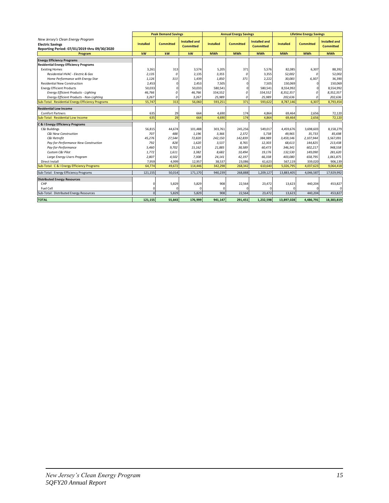|                                                   |                  | <b>Peak Demand Savings</b> |                                          |                  | <b>Annual Energy Savings</b> |                                          |                  | <b>Lifetime Energy Savings</b> |                                          |
|---------------------------------------------------|------------------|----------------------------|------------------------------------------|------------------|------------------------------|------------------------------------------|------------------|--------------------------------|------------------------------------------|
| New Jersey's Clean Energy Program                 |                  |                            |                                          |                  |                              |                                          |                  |                                |                                          |
| <b>Electric Savings</b>                           | <b>Installed</b> | <b>Committed</b>           | <b>Installed and</b><br><b>Committed</b> | <b>Installed</b> | <b>Committed</b>             | <b>Installed and</b><br><b>Committed</b> | <b>Installed</b> | <b>Committed</b>               | <b>Installed and</b><br><b>Committed</b> |
| Reporting Period: 07/01/2019 thru 09/30/2020      |                  |                            |                                          |                  |                              |                                          |                  |                                |                                          |
| Program                                           | kW               | kW                         | kW                                       | <b>MWh</b>       | <b>MWh</b>                   | <b>MWh</b>                               | <b>MWh</b>       | <b>MWh</b>                     | <b>MWh</b>                               |
| <b>Energy Efficiency Programs</b>                 |                  |                            |                                          |                  |                              |                                          |                  |                                |                                          |
| <b>Residential Energy Efficiency Programs</b>     |                  |                            |                                          |                  |                              |                                          |                  |                                |                                          |
| <b>Existing Homes</b>                             | 3.261            | 313                        | 3,574                                    | 5,205            | 371                          | 5,576                                    | 82,085           | 6,307                          | 88,392                                   |
| Residential HVAC - Electric & Gas                 | 2,135            | 0                          | 2,135                                    | 3,355            | 0                            | 3,355                                    | 52,002           | 0                              | 52,002                                   |
| Home Performance with Energy Star                 | 1,126            | 313                        | 1,439                                    | 1,850            | 371                          | 2,222                                    | 30,083           | 6,307                          | 36,390                                   |
| <b>Residential New Construction</b>               | 2,453            | C                          | 2,453                                    | 7,505            | O                            | 7,505                                    | 150,069          | 0                              | 150,069                                  |
| <b>Energy Efficient Products</b>                  | 50,033           | C                          | 50,033                                   | 580,541          | O                            | 580,541                                  | 8,554,992        | $\Omega$                       | 8,554,992                                |
| <b>Energy Efficient Products - Lighting</b>       | 46,766           | $\theta$                   | 46,766                                   | 554,552          | $\mathcal{L}$                | 554,552                                  | 8,352,357        | $\Omega$                       | 8,352,357                                |
| Energy Efficient Products - Non-Lighting          | 3,267            | $\theta$                   | 3,267                                    | 25,989           | 0                            | 25,989                                   | 202,636          | 0                              | 202,636                                  |
| Sub-Total: Residential Energy Efficiency Programs | 55.747           | 313                        | 56.060                                   | 593,251          | 371                          | 593,622                                  | 8,787,146        | 6,307                          | 8,793,454                                |
| <b>Residential Low Income</b>                     |                  |                            |                                          |                  |                              |                                          |                  |                                |                                          |
| <b>Comfort Partners</b>                           | 635              | 29                         | 664                                      | 4,690            | 174                          | 4,864                                    | 69.464           | 2,656                          | 72,120                                   |
| Sub-Total: Residential Low Income                 | 635              | 29                         | 664                                      | 4,690            | 174                          | 4,864                                    | 69,464           | 2,656                          | 72,120                                   |
| <b>C &amp; I Energy Efficiency Programs</b>       |                  |                            |                                          |                  |                              |                                          |                  |                                |                                          |
| C&I Buildings                                     | 56,815           | 44,674                     | 101,488                                  | 303.761          | 245,256                      | 549,017                                  | 4,459,676        | 3,698,603                      | 8,158,279                                |
| <b>C&amp;I New Construction</b>                   | 707              | 488                        | 1,196                                    | 3,366            | 2,372                        | 5,738                                    | 49,965           | 35,733                         | 85.698                                   |
| C&I Retrofit                                      | 45,276           | 27,544                     | 72,820                                   | 242,150          | 142,839                      | 384,989                                  | 3,459,146        | 2,107,944                      | 5,567,091                                |
| Pay-for-Performance New Construction              | 792              | 828                        | 1,620                                    | 3,537            | 8,765                        | 12,303                                   | 68,613           | 144,825                        | 213,438                                  |
| Pay-for-Performance                               | 5,460            | 9,702                      | 15,162                                   | 21,885           | 38,589                       | 60,473                                   | 346,341          | 602,217                        | 948,558                                  |
| Custom C&I Pilot                                  | 1,772            | 1,611                      | 3,382                                    | 8,682            | 10,494                       | 19.176                                   | 132,530          | 149,090                        | 281,620                                  |
| Large Energy Users Program                        | 2.807            | 4,502                      | 7,308                                    | 24,141           | 42,197                       | 66.338                                   | 403,080          | 658,795                        | 1,061,875                                |
| Direct Install                                    | 7,959            | 4,999                      | 12,957                                   | 38,537           | 23,086                       | 61,623                                   | 567,119          | 339,020                        | 906,139                                  |
| Sub-Total: C & I Energy Efficiency Programs       | 64,774           | 49,672                     | 114,446                                  | 342,298          | 268,342                      | 610,640                                  | 5,026,795        | 4,037,623                      | 9,064,418                                |
| Sub-Total: Energy Efficiency Programs             | 121,155          | 50,014                     | 171,170                                  | 940,239          | 268,888                      | 1.209.127                                | 13,883,405       | 4,046,587                      | 17,929,992                               |
| <b>Distributed Energy Resources</b>               |                  |                            |                                          |                  |                              |                                          |                  |                                |                                          |
| CHP                                               | $\Omega$         | 5,829                      | 5,829                                    | 908              | 22,564                       | 23,472                                   | 13,623           | 440,204                        | 453,827                                  |
| Fuel Cell                                         | $\Omega$         | C                          |                                          | $\Omega$         |                              | $\Omega$                                 |                  |                                | $\Omega$                                 |
| Sub-Total: Distributed Energy Resources           | $\Omega$         | 5,829                      | 5,829                                    | 908              | 22,564                       | 23,472                                   | 13,623           | 440,204                        | 453,827                                  |
| <b>TOTAL</b>                                      | 121.155          | 55.843                     | 176,999                                  | 941.147          | 291.451                      | 1.232.598                                | 13.897.028       | 4,486,791                      | 18,383,819                               |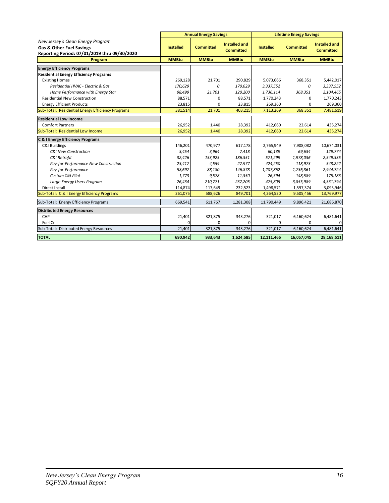|                                                                                                                          |                  | <b>Annual Energy Savings</b> |                                          |                  | <b>Lifetime Energy Savings</b> |                                          |
|--------------------------------------------------------------------------------------------------------------------------|------------------|------------------------------|------------------------------------------|------------------|--------------------------------|------------------------------------------|
| New Jersey's Clean Energy Program<br><b>Gas &amp; Other Fuel Savings</b><br>Reporting Period: 07/01/2019 thru 09/30/2020 | <b>Installed</b> | <b>Committed</b>             | <b>Installed and</b><br><b>Committed</b> | <b>Installed</b> | <b>Committed</b>               | <b>Installed and</b><br><b>Committed</b> |
| Program                                                                                                                  | <b>MMBtu</b>     | <b>MMBtu</b>                 | <b>MMBtu</b>                             | <b>MMBtu</b>     | <b>MMBtu</b>                   | <b>MMBtu</b>                             |
| <b>Energy Efficiency Programs</b>                                                                                        |                  |                              |                                          |                  |                                |                                          |
| <b>Residential Energy Efficiency Programs</b>                                                                            |                  |                              |                                          |                  |                                |                                          |
| <b>Existing Homes</b>                                                                                                    | 269,128          | 21,701                       | 290,829                                  | 5,073,666        | 368,351                        | 5,442,017                                |
| Residential HVAC - Electric & Gas                                                                                        | 170,629          | Ω                            | 170,629                                  | 3,337,552        | 0                              | 3,337,552                                |
| Home Performance with Energy Star                                                                                        | 98,499           | 21,701                       | 120,200                                  | 1,736,114        | 368,351                        | 2,104,465                                |
| <b>Residential New Construction</b>                                                                                      | 88,571           | U                            | 88,571                                   | 1,770,243        | $\Omega$                       | 1,770,243                                |
| <b>Energy Efficient Products</b>                                                                                         | 23,815           |                              | 23,815                                   | 269,360          |                                | 269,360                                  |
| Sub-Total: Residential Energy Efficiency Programs                                                                        | 381,514          | 21,701                       | 403,215                                  | 7,113,269        | 368,351                        | 7,481,619                                |
| <b>Residential Low Income</b>                                                                                            |                  |                              |                                          |                  |                                |                                          |
| <b>Comfort Partners</b>                                                                                                  | 26,952           | 1,440                        | 28,392                                   | 412,660          | 22,614                         | 435,274                                  |
| Sub-Total: Residential Low Income                                                                                        | 26,952           | 1,440                        | 28,392                                   | 412,660          | 22,614                         | 435,274                                  |
| C & I Energy Efficiency Programs                                                                                         |                  |                              |                                          |                  |                                |                                          |
| C&I Buildings                                                                                                            | 146,201          | 470,977                      | 617,178                                  | 2,765,949        | 7,908,082                      | 10,674,031                               |
| <b>C&amp;I New Construction</b>                                                                                          | 3,454            | 3,964                        | 7,418                                    | 60,139           | 69,634                         | 129,774                                  |
| C&I Retrofit                                                                                                             | 32,426           | 153,925                      | 186,351                                  | 571,299          | 1,978,036                      | 2,549,335                                |
| Pay-for-Performance New Construction                                                                                     | 23,417           | 4,559                        | 27,977                                   | 424,250          | 118,973                        | 543,222                                  |
| Pay-for-Performance                                                                                                      | 58,697           | 88,180                       | 146,878                                  | 1,207,862        | 1,736,861                      | 2,944,724                                |
| Custom C&I Pilot                                                                                                         | 1,773            | 9,578                        | 11,350                                   | 26,594           | 148,589                        | 175,183                                  |
| Large Energy Users Program                                                                                               | 26,434           | 210,771                      | 237,205                                  | 475,805          | 3,855,989                      | 4,331,794                                |
| Direct Install                                                                                                           | 114,874          | 117,649                      | 232,523                                  | 1,498,571        | 1,597,374                      | 3,095,946                                |
| Sub-Total: C & I Energy Efficiency Programs                                                                              | 261,075          | 588,626                      | 849,701                                  | 4,264,520        | 9,505,456                      | 13,769,977                               |
| Sub-Total: Energy Efficiency Programs                                                                                    | 669,541          | 611,767                      | 1,281,308                                | 11,790,449       | 9,896,421                      | 21,686,870                               |
| <b>Distributed Energy Resources</b>                                                                                      |                  |                              |                                          |                  |                                |                                          |
| CHP                                                                                                                      | 21,401           | 321,875                      | 343,276                                  | 321,017          | 6,160,624                      | 6,481,641                                |
| <b>Fuel Cell</b>                                                                                                         | <sup>0</sup>     | 0                            | 0                                        | $\mathbf{0}$     | $\Omega$                       | $\Omega$                                 |
| Sub-Total: Distributed Energy Resources                                                                                  | 21,401           | 321,875                      | 343,276                                  | 321,017          | 6,160,624                      | 6,481,641                                |
| <b>TOTAL</b>                                                                                                             | 690,942          | 933,643                      | 1,624,585                                | 12,111,466       | 16,057,045                     | 28,168,511                               |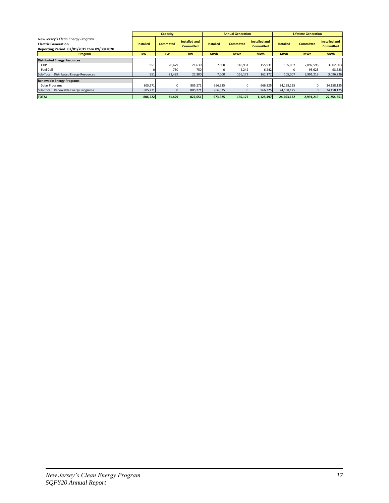|                                                                            |                  | <b>Capacity</b>  |                  |                  | <b>Annual Generation</b> |                  |                  | <b>Lifetime Generation</b> |                  |  |
|----------------------------------------------------------------------------|------------------|------------------|------------------|------------------|--------------------------|------------------|------------------|----------------------------|------------------|--|
| New Jersey's Clean Energy Program                                          |                  |                  | Installed and    |                  |                          | Installed and    |                  |                            | Installed and    |  |
| <b>Electric Generation</b><br>Reporting Period: 07/01/2019 thru 09/30/2020 | <b>Installed</b> | <b>Committed</b> | <b>Committed</b> | <b>Installed</b> | <b>Committed</b>         | <b>Committed</b> | <b>Installed</b> | <b>Committed</b>           | <b>Committed</b> |  |
| Program                                                                    | <b>kW</b>        | kW               | kW               | <b>MWh</b>       | <b>MWh</b>               | <b>MWh</b>       | <b>MWh</b>       | <b>MWh</b>                 | <b>MWh</b>       |  |
| <b>Distributed Energy Resources</b>                                        |                  |                  |                  |                  |                          |                  |                  |                            |                  |  |
| CHP                                                                        | 951              | 20,679           | 21,630           | 7,000            | 148,931                  | 155,931          | 105,007          | 2,897,596                  | 3,002,603        |  |
| Fuel Cell                                                                  |                  | 750              | 750              |                  | 6,242                    | 6,242            |                  | 93,623                     | 93,623           |  |
| Sub-Total: Distributed Energy Resources                                    | 951              | 21,429           | 22,380           | 7,000            | 155,172                  | 162,172          | 105,007          | 2,991,219                  | 3,096,226        |  |
| <b>Renewable Energy Programs</b>                                           |                  |                  |                  |                  |                          |                  |                  |                            |                  |  |
| Solar Programs                                                             | 805,271          |                  | 805,271          | 966,325          |                          | 966,325          | 24,158,125       |                            | 24,158,125       |  |
| Sub-Total: Renewable Energy Programs                                       | 805,271          | $\Omega$         | 805,271          | 966,325          |                          | 966,325          | 24,158,125       | $\Omega$                   | 24,158,125       |  |
| <b>TOTAL</b>                                                               | 806,222          | 21,429           | 827,651          | 973,325          | 155,172                  | 1,128,497        | 24,263,132       | 2,991,219                  | 27,254,351       |  |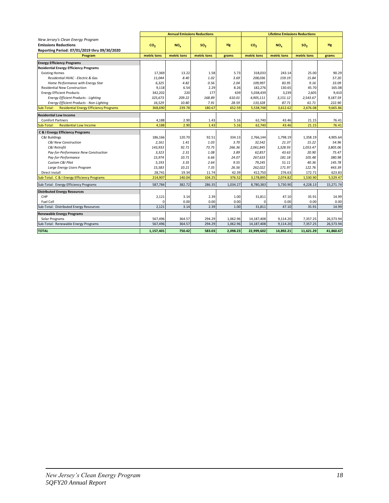|                                                             |                 | <b>Annual Emissions Reductions</b> |                 |           |                 | <b>Lifetime Emissions Reductions</b> |                 |           |
|-------------------------------------------------------------|-----------------|------------------------------------|-----------------|-----------|-----------------|--------------------------------------|-----------------|-----------|
| New Jersey's Clean Energy Program                           |                 |                                    |                 |           |                 |                                      |                 |           |
| <b>Emissions Reductions</b>                                 | CO <sub>2</sub> | NO <sub>x</sub>                    | SO <sub>2</sub> | <b>Hg</b> | CO <sub>2</sub> | $NO_x$                               | SO <sub>2</sub> | Hg        |
| Reporting Period: 07/01/2019 thru 09/30/2020<br>Program     | metric tons     | metric tons                        | metric tons     | grams     | metric tons     | metric tons                          | metric tons     | grams     |
|                                                             |                 |                                    |                 |           |                 |                                      |                 |           |
| <b>Energy Efficiency Programs</b>                           |                 |                                    |                 |           |                 |                                      |                 |           |
| <b>Residential Energy Efficiency Programs</b>               |                 |                                    |                 |           |                 |                                      |                 |           |
| <b>Existing Homes</b>                                       | 17.369          | 13.22                              | 1.58            | 5.73      | 318.033         | 243.14                               | 25.00           | 90.29     |
| Residential HVAC - Electric & Gas                           | 11.044          | 8.40                               | 1.02            | 3.69      | 208,036         | 159.19                               | 15.84           | 57.20     |
| Home Performance with Energy Star                           | 6,325           | 4.82                               | 0.56            | 2.04      | 109,997         | 83.95                                | 9.16            | 33.09     |
| <b>Residential New Construction</b>                         | 9,118           | 6.54                               | 2.29            | 8.26      | 182,276         | 130.65                               | 45.70           | 165.08    |
| <b>Energy Efficient Products</b>                            | 342,202         | 220                                | 177             | 639       | 5,038,439       | 3,239                                | 2,605           | 9,410     |
| <b>Energy Efficient Products - Lighting</b>                 | 325,673         | 209.22                             | 168.89          | 610.01    | 4,905,111       | 3,151.12                             | 2,543.67        | 9,187.59  |
| Energy Efficient Products - Non-Lighting                    | 16,529          | 10.80                              | 7.91            | 28.59     | 133,328         | 87.71                                | 61.71           | 222.90    |
| <b>Residential Energy Efficiency Programs</b><br>Sub-Total: | 368,690         | 239.78                             | 180.67          | 652.59    | 5,538,748       | 3,612.62                             | 2,676.08        | 9,665.86  |
| <b>Residential Low Income</b>                               |                 |                                    |                 |           |                 |                                      |                 |           |
| <b>Comfort Partners</b>                                     | 4.188           | 2.90                               | 1.43            | 5.16      | 62.740          | 43.46                                | 21.15           | 76.41     |
| <b>Residential Low Income</b><br>Sub-Total:                 | 4,188           | 2.90                               | 1.43            | 5.16      | 62,740          | 43.46                                | 21.15           | 76.41     |
| <b>C &amp; I Energy Efficiency Programs</b>                 |                 |                                    |                 |           |                 |                                      |                 |           |
| C&I Buildings                                               | 186.166         | 120.70                             | 92.51           | 334.13    | 2,766,144       | 1,798.19                             | 1,358.19        | 4,905.64  |
| <b>C&amp;I New Construction</b>                             | 2,161           | 1.41                               | 1.03            | 3.70      | 32,542          | 21.37                                | 15.22           | 54.96     |
| C&I Retrofit                                                | 143,933         | 92.71                              | 73.75           | 266.36    | 2,061,845       | 1,328.93                             | 1,053.47        | 3.805.06  |
| Pay-for-Performance New Construction                        | 3,323           | 2.31                               | 1.08            | 3.89      | 62,857          | 43.63                                | 20.90           | 75.47     |
| Pay-for-Performance                                         | 15,974          | 10.71                              | 6.66            | 24.07     | 267,633         | 181.18                               | 105.48          | 380.98    |
| Custom C&I Pilot                                            | 5,193           | 3.35                               | 2.64            | 9.55      | 79,245          | 51.11                                | 40.36           | 145.78    |
| Large Energy Users Program                                  | 15,583          | 10.21                              | 7.35            | 26.56     | 262,022         | 171.97                               | 122.76          | 443.39    |
| Direct Install                                              | 28,741          | 19.34                              | 11.74           | 42.39     | 412,750         | 276.63                               | 172.71          | 623.83    |
| Sub-Total: C & I Energy Efficiency Programs                 | 214,907         | 140.04                             | 104.25          | 376.52    | 3,178,895       | 2,074.82                             | 1,530.90        | 5,529.47  |
| Sub-Total: Energy Efficiency Programs                       | 587,784         | 382.72                             | 286.35          | 1,034.27  | 8,780,383       | 5,730.90                             | 4,228.13        | 15,271.74 |
| <b>Distributed Energy Resources</b>                         |                 |                                    |                 |           |                 |                                      |                 |           |
| CHP                                                         | 2,121           | 3.14                               | 2.39            | 1.00      | 31,811          | 47.10                                | 35.91           | 14.99     |
| Fuel Cell                                                   | $\Omega$        | 0.00                               | 0.00            | 0.00      | $\Omega$        | 0.00                                 | 0.00            | 0.00      |
| Sub-Total: Distributed Energy Resources                     | 2,121           | 3.14                               | 2.39            | 1.00      | 31,811          | 47.10                                | 35.91           | 14.99     |
| <b>Renewable Energy Programs</b>                            |                 |                                    |                 |           |                 |                                      |                 |           |
| Solar Programs                                              | 567,496         | 364.57                             | 294.29          | 1,062.96  | 14,187,408      | 9,114.20                             | 7,357.25        | 26,573.94 |
| Sub-Total: Renewable Energy Programs                        | 567,496         | 364.57                             | 294.29          | 1.062.96  | 14,187,408      | 9.114.20                             | 7,357.25        | 26,573.94 |
| <b>TOTAL</b>                                                | 1,157,401       | 750.42                             | 583.03          | 2,098.23  | 22,999,602      | 14,892.21                            | 11,621.29       | 41,860.67 |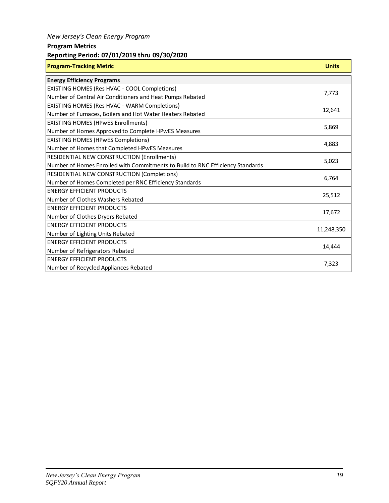### *New Jersey's Clean Energy Program*

### **Program Metrics**

### **Reporting Period: 07/01/2019 thru 09/30/2020**

| <b>Program-Tracking Metric</b>                                                 | <b>Units</b> |
|--------------------------------------------------------------------------------|--------------|
| <b>Energy Efficiency Programs</b>                                              |              |
| EXISTING HOMES (Res HVAC - COOL Completions)                                   | 7,773        |
| Number of Central Air Conditioners and Heat Pumps Rebated                      |              |
| EXISTING HOMES (Res HVAC - WARM Completions)                                   | 12,641       |
| Number of Furnaces, Boilers and Hot Water Heaters Rebated                      |              |
| <b>EXISTING HOMES (HPWES Enrollments)</b>                                      | 5,869        |
| Number of Homes Approved to Complete HPwES Measures                            |              |
| <b>EXISTING HOMES (HPWES Completions)</b>                                      | 4,883        |
| Number of Homes that Completed HPwES Measures                                  |              |
| RESIDENTIAL NEW CONSTRUCTION (Enrollments)                                     | 5,023        |
| Number of Homes Enrolled with Commitments to Build to RNC Efficiency Standards |              |
| <b>RESIDENTIAL NEW CONSTRUCTION (Completions)</b>                              | 6,764        |
| Number of Homes Completed per RNC Efficiency Standards                         |              |
| <b>ENERGY EFFICIENT PRODUCTS</b>                                               | 25,512       |
| Number of Clothes Washers Rebated                                              |              |
| <b>ENERGY EFFICIENT PRODUCTS</b>                                               | 17,672       |
| Number of Clothes Dryers Rebated                                               |              |
| <b>ENERGY EFFICIENT PRODUCTS</b>                                               | 11,248,350   |
| Number of Lighting Units Rebated                                               |              |
| <b>ENERGY EFFICIENT PRODUCTS</b>                                               | 14,444       |
| Number of Refrigerators Rebated                                                |              |
| <b>ENERGY EFFICIENT PRODUCTS</b>                                               | 7,323        |
| Number of Recycled Appliances Rebated                                          |              |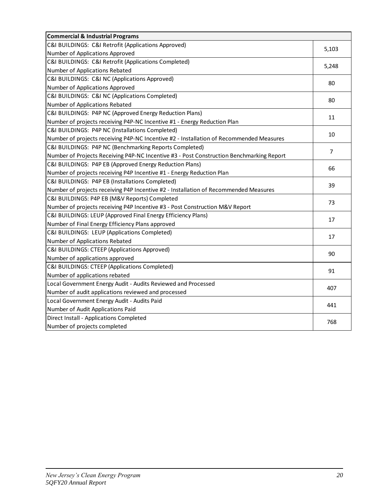| <b>Commercial &amp; Industrial Programs</b>                                              |                |
|------------------------------------------------------------------------------------------|----------------|
| C&I BUILDINGS: C&I Retrofit (Applications Approved)                                      | 5,103          |
| Number of Applications Approved                                                          |                |
| C&I BUILDINGS: C&I Retrofit (Applications Completed)                                     | 5,248          |
| Number of Applications Rebated                                                           |                |
| C&I BUILDINGS: C&I NC (Applications Approved)                                            | 80             |
| Number of Applications Approved                                                          |                |
| C&I BUILDINGS: C&I NC (Applications Completed)                                           | 80             |
| Number of Applications Rebated                                                           |                |
| C&I BUILDINGS: P4P NC (Approved Energy Reduction Plans)                                  | 11             |
| Number of projects receiving P4P-NC Incentive #1 - Energy Reduction Plan                 |                |
| C&I BUILDINGS: P4P NC (Installations Completed)                                          | 10             |
| Number of projects receiving P4P-NC Incentive #2 - Installation of Recommended Measures  |                |
| C&I BUILDINGS: P4P NC (Benchmarking Reports Completed)                                   | $\overline{7}$ |
| Number of Projects Receiving P4P-NC Incentive #3 - Post Construction Benchmarking Report |                |
| C&I BUILDINGS: P4P EB (Approved Energy Reduction Plans)                                  |                |
| Number of projects receiving P4P Incentive #1 - Energy Reduction Plan                    | 66             |
| C&I BUILDINGS: P4P EB (Installations Completed)                                          | 39             |
| Number of projects receiving P4P Incentive #2 - Installation of Recommended Measures     |                |
| C&I BUILDINGS: P4P EB (M&V Reports) Completed                                            | 73             |
| Number of projects receiving P4P Incentive #3 - Post Construction M&V Report             |                |
| C&I BUILDINGS: LEUP (Approved Final Energy Efficiency Plans)                             | 17             |
| Number of Final Energy Efficiency Plans approved                                         |                |
| C&I BUILDINGS: LEUP (Applications Completed)                                             | 17             |
| Number of Applications Rebated                                                           |                |
| C&I BUILDINGS: CTEEP (Applications Approved)                                             | 90             |
| Number of applications approved                                                          |                |
| C&I BUILDINGS: CTEEP (Applications Completed)                                            | 91             |
| Number of applications rebated                                                           |                |
| Local Government Energy Audit - Audits Reviewed and Processed                            | 407            |
| Number of audit applications reviewed and processed                                      |                |
| Local Government Energy Audit - Audits Paid                                              |                |
| Number of Audit Applications Paid                                                        | 441            |
| Direct Install - Applications Completed                                                  | 768            |
| Number of projects completed                                                             |                |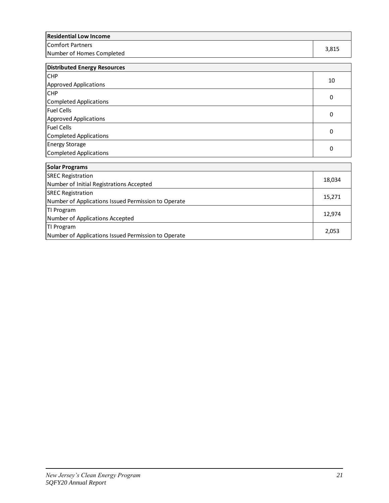| <b>Residential Low Income</b>                 |       |
|-----------------------------------------------|-------|
| Comfort Partners<br>Number of Homes Completed | 3.815 |
| Dientu                                        |       |

| Distributed Energy Resources |    |
|------------------------------|----|
| <b>CHP</b>                   | 10 |
| Approved Applications        |    |
| <b>CHP</b>                   | 0  |
| Completed Applications       |    |
| <b>Fuel Cells</b>            |    |
| Approved Applications        | 0  |
| <b>Fuel Cells</b>            | 0  |
| Completed Applications       |    |
| <b>Energy Storage</b>        | 0  |
| Completed Applications       |    |

| <b>Solar Programs</b>                               |        |
|-----------------------------------------------------|--------|
| <b>SREC Registration</b>                            | 18,034 |
| Number of Initial Registrations Accepted            |        |
| <b>SREC Registration</b>                            |        |
| Number of Applications Issued Permission to Operate | 15,271 |
| TI Program                                          |        |
| Number of Applications Accepted                     | 12,974 |
| TI Program                                          |        |
| Number of Applications Issued Permission to Operate | 2,053  |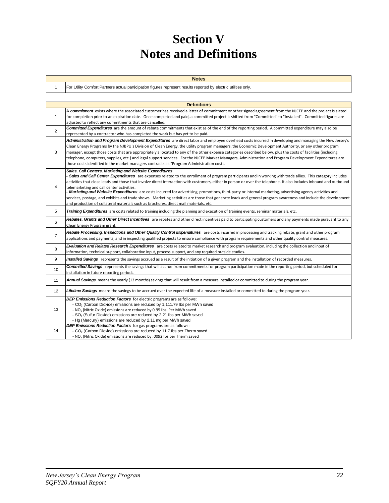# **Section V Notes and Definitions**

For Utility Comfort Partners actual participation figures represent results reported by electric utilities only.

1

|                | <b>Definitions</b>                                                                                                                                                                                                                                                                                                                                                                                                                                                                                                                                                                                                                                                                                                                                                                                                                                                 |
|----------------|--------------------------------------------------------------------------------------------------------------------------------------------------------------------------------------------------------------------------------------------------------------------------------------------------------------------------------------------------------------------------------------------------------------------------------------------------------------------------------------------------------------------------------------------------------------------------------------------------------------------------------------------------------------------------------------------------------------------------------------------------------------------------------------------------------------------------------------------------------------------|
|                | A commitment exists where the associated customer has received a letter of commitment or other signed agreement from the NJCEP and the project is slated                                                                                                                                                                                                                                                                                                                                                                                                                                                                                                                                                                                                                                                                                                           |
| $\mathbf{1}$   | for completion prior to an expiration date. Once completed and paid, a committed project is shifted from "Committed" to "Installed". Committed figures are                                                                                                                                                                                                                                                                                                                                                                                                                                                                                                                                                                                                                                                                                                         |
|                | adjusted to reflect any commitments that are cancelled.<br><b>Committed Expenditures</b> are the amount of rebate commitments that exist as of the end of the reporting period. A committed expenditure may also be                                                                                                                                                                                                                                                                                                                                                                                                                                                                                                                                                                                                                                                |
| $\overline{2}$ | represented by a contractor who has completed the work but has yet to be paid.                                                                                                                                                                                                                                                                                                                                                                                                                                                                                                                                                                                                                                                                                                                                                                                     |
| 3              | Administration and Program Development Expenditures are direct labor and employee overhead costs incurred in developing and managing the New Jersey's<br>Clean Energy Programs by the NJBPU's Division of Clean Energy, the utility program managers, the Economic Development Authority, or any other program<br>manager, except those costs that are appropriately allocated to any of the other expense categories described below, plus the costs of facilities (including<br>telephone, computers, supplies, etc.) and legal support services. For the NJCEP Market Managers, Administration and Program Development Expenditures are<br>those costs identified in the market managers contracts as "Program Administration costs.                                                                                                                            |
| $\overline{4}$ | Sales, Call Centers, Marketing and Website Expenditures<br>- Sales and Call Center Expenditures are expenses related to the enrollment of program participants and in working with trade allies. This category includes<br>activities that close leads and those that involve direct interaction with customers, either in person or over the telephone. It also includes inbound and outbound<br>telemarketing and call center activities.<br>- Marketing and Website Expenditures are costs incurred for advertising, promotions, third-party or internal marketing, advertising agency activities and<br>services, postage, and exhibits and trade shows. Marketing activities are those that generate leads and general program awareness and include the development<br>and production of collateral materials such as brochures, direct mail materials, etc. |
| 5              | Training Expenditures are costs related to training including the planning and execution of training events, seminar materials, etc.                                                                                                                                                                                                                                                                                                                                                                                                                                                                                                                                                                                                                                                                                                                               |
| 6              | Rebates, Grants and Other Direct Incentives are rebates and other direct incentives paid to participating customers and any payments made pursuant to any<br>Clean Energy Program grant.                                                                                                                                                                                                                                                                                                                                                                                                                                                                                                                                                                                                                                                                           |
| $\overline{7}$ | Rebate Processing, Inspections and Other Quality Control Expenditures are costs incurred in processing and tracking rebate, grant and other program<br>applications and payments, and in inspecting qualified projects to ensure compliance with program requirements and other quality control measures.                                                                                                                                                                                                                                                                                                                                                                                                                                                                                                                                                          |
| 8              | Evaluation and Related Research Expenditures are costs related to market research and program evaluation, including the collection and input of<br>information, technical support, collaborative input, process support, and any required outside studies.                                                                                                                                                                                                                                                                                                                                                                                                                                                                                                                                                                                                         |
| 9              | Installed Savings represents the savings accrued as a result of the initiation of a given program and the installation of recorded measures.                                                                                                                                                                                                                                                                                                                                                                                                                                                                                                                                                                                                                                                                                                                       |
| 10             | <b>Committed Savings</b> represents the savings that will accrue from commitments for program participation made in the reporting period, but scheduled for<br>installation in future reporting periods.                                                                                                                                                                                                                                                                                                                                                                                                                                                                                                                                                                                                                                                           |
| 11             | Annual Savings means the yearly (12 months) savings that will result from a measure installed or committed to during the program year.                                                                                                                                                                                                                                                                                                                                                                                                                                                                                                                                                                                                                                                                                                                             |
| 12             | Lifetime Savings means the savings to be accrued over the expected life of a measure installed or committed to during the program year.                                                                                                                                                                                                                                                                                                                                                                                                                                                                                                                                                                                                                                                                                                                            |
| 13             | <b>DEP Emissions Reduction Factors</b> for electric programs are as follows:<br>- CO <sub>2</sub> (Carbon Dioxide) emissions are reduced by 1,111.79 lbs per MWh saved<br>- NO <sub>x</sub> (Nitric Oxide) emissions are reduced by 0.95 lbs. Per MWh saved<br>- SO <sub>2</sub> (Sulfur Dioxide) emissions are reduced by 2.21 lbs per MWh saved<br>- Hg (Mercury) emissions are reduced by 2.11 mg per MWh saved                                                                                                                                                                                                                                                                                                                                                                                                                                                 |
| 14             | <b>DEP Emissions Reduction Factors</b> for gas programs are as follows:<br>- CO <sub>2</sub> (Carbon Dioxide) emissions are reduced by 11.7 lbs per Therm saved<br>- NO <sub>x</sub> (Nitric Oxide) emissions are reduced by .0092 Ibs per Therm saved                                                                                                                                                                                                                                                                                                                                                                                                                                                                                                                                                                                                             |